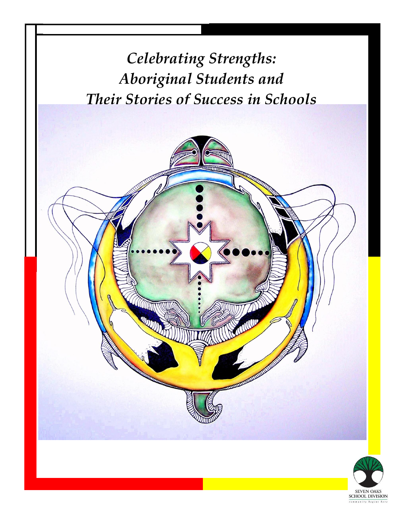

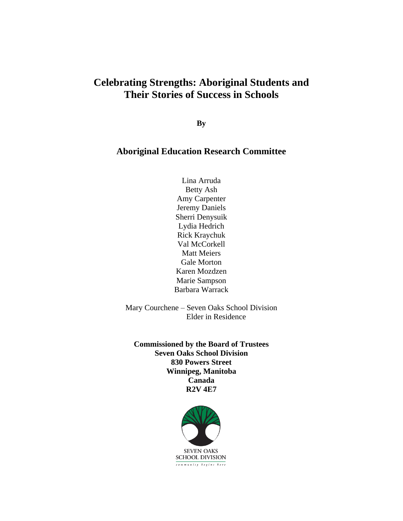## **Celebrating Strengths: Aboriginal Students and Their Stories of Success in Schools**

**By**

#### **Aboriginal Education Research Committee**

Lina Arruda Betty Ash Amy Carpenter Jeremy Daniels Sherri Denysuik Lydia Hedrich Rick Kraychuk Val McCorkell Matt Meiers Gale Morton Karen Mozdzen Marie Sampson Barbara Warrack

Mary Courchene – Seven Oaks School Division Elder in Residence

**Commissioned by the Board of Trustees Seven Oaks School Division 830 Powers Street Winnipeg, Manitoba Canada R2V 4E7**

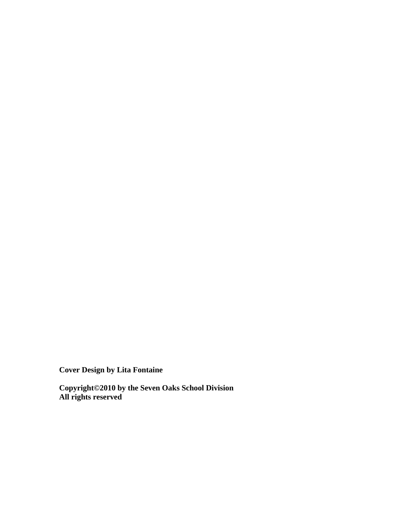**Cover Design by Lita Fontaine**

**Copyright©2010 by the Seven Oaks School Division All rights reserved**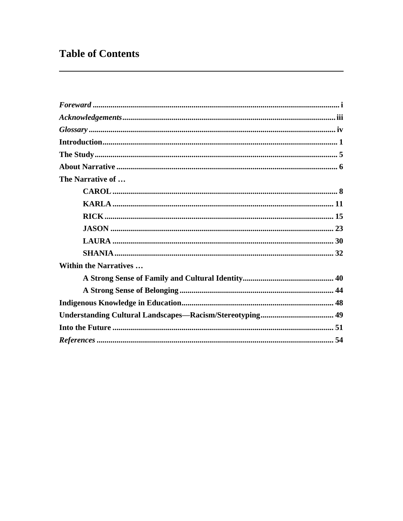# **Table of Contents**

| The Narrative of             |  |
|------------------------------|--|
|                              |  |
|                              |  |
|                              |  |
|                              |  |
|                              |  |
|                              |  |
| <b>Within the Narratives</b> |  |
|                              |  |
|                              |  |
|                              |  |
|                              |  |
|                              |  |
|                              |  |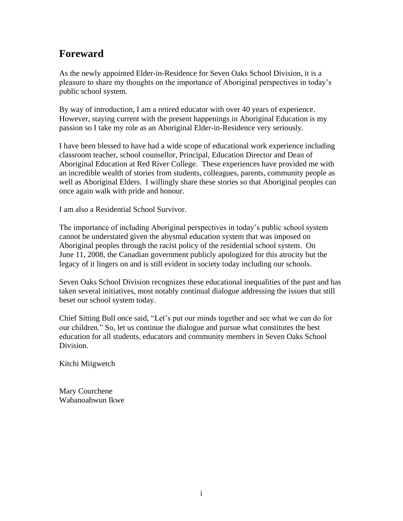## **Foreward**

As the newly appointed Elder-in-Residence for Seven Oaks School Division, it is a pleasure to share my thoughts on the importance of Aboriginal perspectives in today's public school system.

By way of introduction, I am a retired educator with over 40 years of experience. However, staying current with the present happenings in Aboriginal Education is my passion so I take my role as an Aboriginal Elder-in-Residence very seriously.

I have been blessed to have had a wide scope of educational work experience including classroom teacher, school counsellor, Principal, Education Director and Dean of Aboriginal Education at Red River College. These experiences have provided me with an incredible wealth of stories from students, colleagues, parents, community people as well as Aboriginal Elders. I willingly share these stories so that Aboriginal peoples can once again walk with pride and honour.

I am also a Residential School Survivor.

The importance of including Aboriginal perspectives in today's public school system cannot be understated given the abysmal education system that was imposed on Aboriginal peoples through the racist policy of the residential school system. On June 11, 2008, the Canadian government publicly apologized for this atrocity but the legacy of it lingers on and is still evident in society today including our schools.

Seven Oaks School Division recognizes these educational inequalities of the past and has taken several initiatives, most notably continual dialogue addressing the issues that still beset our school system today.

Chief Sitting Bull once said, "Let's put our minds together and see what we can do for our children." So, let us continue the dialogue and pursue what constitutes the best education for all students, educators and community members in Seven Oaks School Division.

Kitchi Miigwetch

Mary Courchene Wabanoahwun Ikwe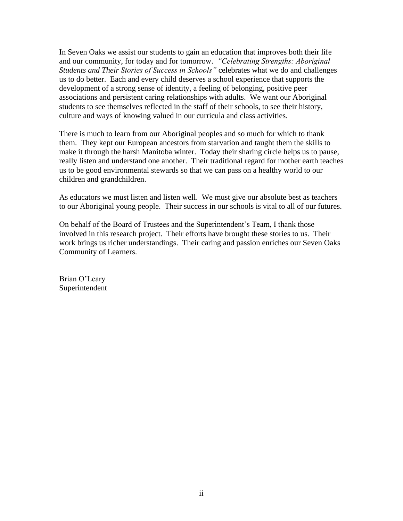In Seven Oaks we assist our students to gain an education that improves both their life and our community, for today and for tomorrow. *"Celebrating Strengths: Aboriginal Students and Their Stories of Success in Schools"* celebrates what we do and challenges us to do better. Each and every child deserves a school experience that supports the development of a strong sense of identity, a feeling of belonging, positive peer associations and persistent caring relationships with adults. We want our Aboriginal students to see themselves reflected in the staff of their schools, to see their history, culture and ways of knowing valued in our curricula and class activities.

There is much to learn from our Aboriginal peoples and so much for which to thank them. They kept our European ancestors from starvation and taught them the skills to make it through the harsh Manitoba winter. Today their sharing circle helps us to pause, really listen and understand one another. Their traditional regard for mother earth teaches us to be good environmental stewards so that we can pass on a healthy world to our children and grandchildren.

As educators we must listen and listen well. We must give our absolute best as teachers to our Aboriginal young people. Their success in our schools is vital to all of our futures.

On behalf of the Board of Trustees and the Superintendent's Team, I thank those involved in this research project. Their efforts have brought these stories to us. Their work brings us richer understandings. Their caring and passion enriches our Seven Oaks Community of Learners.

Brian O'Leary Superintendent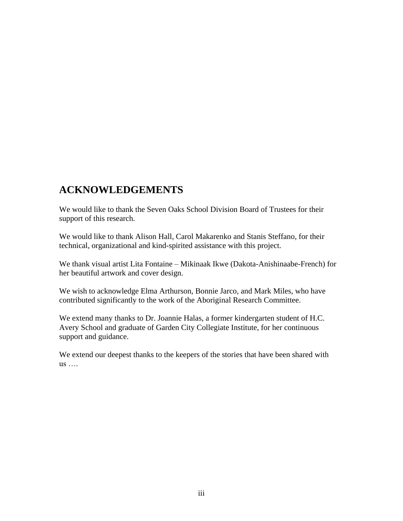## **ACKNOWLEDGEMENTS**

We would like to thank the Seven Oaks School Division Board of Trustees for their support of this research.

We would like to thank Alison Hall, Carol Makarenko and Stanis Steffano, for their technical, organizational and kind-spirited assistance with this project.

We thank visual artist Lita Fontaine – Mikinaak Ikwe (Dakota-Anishinaabe-French) for her beautiful artwork and cover design.

We wish to acknowledge Elma Arthurson, Bonnie Jarco, and Mark Miles, who have contributed significantly to the work of the Aboriginal Research Committee.

We extend many thanks to Dr. Joannie Halas, a former kindergarten student of H.C. Avery School and graduate of Garden City Collegiate Institute, for her continuous support and guidance.

We extend our deepest thanks to the keepers of the stories that have been shared with us ….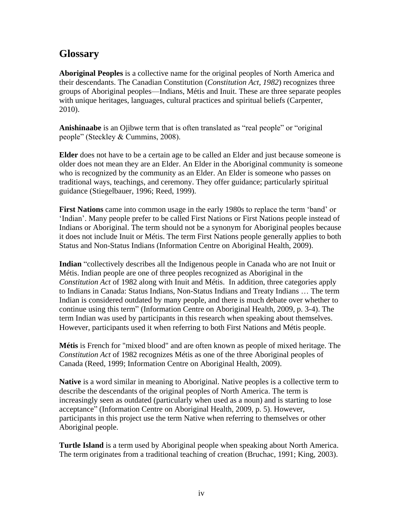## **Glossary**

**Aboriginal Peoples** is a collective name for the original peoples of North America and their descendants. The Canadian Constitution (*Constitution Act, 1982*) recognizes three groups of Aboriginal peoples—Indians, Métis and Inuit. These are three separate peoples with unique heritages, languages, cultural practices and spiritual beliefs (Carpenter, 2010).

**Anishinaabe** is an Ojibwe term that is often translated as "real people" or "original people" (Steckley & Cummins, 2008).

**Elder** does not have to be a certain age to be called an Elder and just because someone is older does not mean they are an Elder. An Elder in the Aboriginal community is someone who is recognized by the community as an Elder. An Elder is someone who passes on traditional ways, teachings, and ceremony. They offer guidance; particularly spiritual guidance (Stiegelbauer, 1996; Reed, 1999).

**First Nations** came into common usage in the early 1980s to replace the term 'band' or 'Indian'. Many people prefer to be called First Nations or First Nations people instead of Indians or Aboriginal. The term should not be a synonym for Aboriginal peoples because it does not include Inuit or Métis. The term First Nations people generally applies to both Status and Non-Status Indians (Information Centre on Aboriginal Health, 2009).

Indian "collectively describes all the Indigenous people in Canada who are not Inuit or Métis. Indian people are one of three peoples recognized as Aboriginal in the *Constitution Act* of 1982 along with Inuit and Métis. In addition, three categories apply to Indians in Canada: Status Indians, Non-Status Indians and Treaty Indians … The term Indian is considered outdated by many people, and there is much debate over whether to continue using this term" (Information Centre on Aboriginal Health, 2009, p. 3-4). The term Indian was used by participants in this research when speaking about themselves. However, participants used it when referring to both First Nations and Métis people.

**Métis** is French for "mixed blood" and are often known as people of mixed heritage. The *Constitution Act* of 1982 recognizes Métis as one of the three Aboriginal peoples of Canada (Reed, 1999; Information Centre on Aboriginal Health, 2009).

**Native** is a word similar in meaning to Aboriginal. Native peoples is a collective term to describe the descendants of the original peoples of North America. The term is increasingly seen as outdated (particularly when used as a noun) and is starting to lose acceptance" (Information Centre on Aboriginal Health, 2009, p. 5). However, participants in this project use the term Native when referring to themselves or other Aboriginal people.

**Turtle Island** is a term used by Aboriginal people when speaking about North America. The term originates from a traditional teaching of creation (Bruchac, 1991; King, 2003).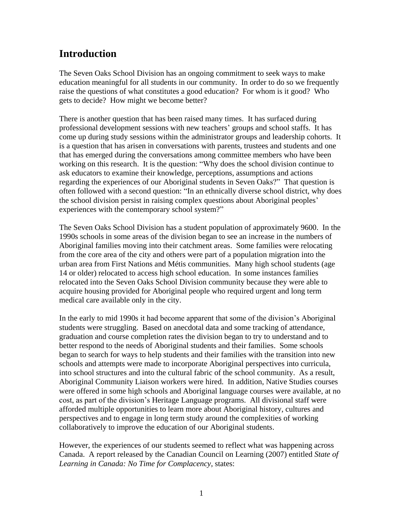# **Introduction**

The Seven Oaks School Division has an ongoing commitment to seek ways to make education meaningful for all students in our community. In order to do so we frequently raise the questions of what constitutes a good education? For whom is it good? Who gets to decide? How might we become better?

There is another question that has been raised many times. It has surfaced during professional development sessions with new teachers' groups and school staffs. It has come up during study sessions within the administrator groups and leadership cohorts. It is a question that has arisen in conversations with parents, trustees and students and one that has emerged during the conversations among committee members who have been working on this research. It is the question: "Why does the school division continue to ask educators to examine their knowledge, perceptions, assumptions and actions regarding the experiences of our Aboriginal students in Seven Oaks?" That question is often followed with a second question: "In an ethnically diverse school district, why does the school division persist in raising complex questions about Aboriginal peoples' experiences with the contemporary school system?"

The Seven Oaks School Division has a student population of approximately 9600. In the 1990s schools in some areas of the division began to see an increase in the numbers of Aboriginal families moving into their catchment areas. Some families were relocating from the core area of the city and others were part of a population migration into the urban area from First Nations and Métis communities. Many high school students (age 14 or older) relocated to access high school education. In some instances families relocated into the Seven Oaks School Division community because they were able to acquire housing provided for Aboriginal people who required urgent and long term medical care available only in the city.

In the early to mid 1990s it had become apparent that some of the division's Aboriginal students were struggling. Based on anecdotal data and some tracking of attendance, graduation and course completion rates the division began to try to understand and to better respond to the needs of Aboriginal students and their families. Some schools began to search for ways to help students and their families with the transition into new schools and attempts were made to incorporate Aboriginal perspectives into curricula, into school structures and into the cultural fabric of the school community. As a result, Aboriginal Community Liaison workers were hired. In addition, Native Studies courses were offered in some high schools and Aboriginal language courses were available, at no cost, as part of the division's Heritage Language programs. All divisional staff were afforded multiple opportunities to learn more about Aboriginal history, cultures and perspectives and to engage in long term study around the complexities of working collaboratively to improve the education of our Aboriginal students.

However, the experiences of our students seemed to reflect what was happening across Canada. A report released by the Canadian Council on Learning (2007) entitled *State of Learning in Canada: No Time for Complacency*, states: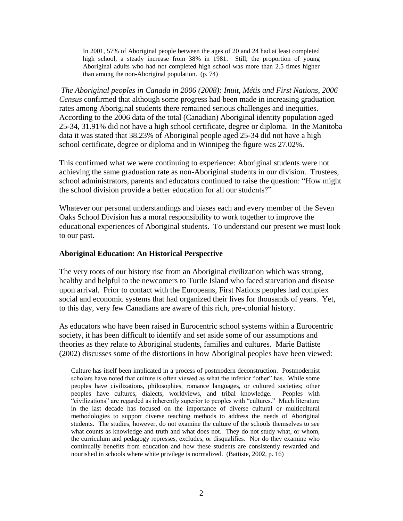In 2001, 57% of Aboriginal people between the ages of 20 and 24 had at least completed high school, a steady increase from 38% in 1981. Still, the proportion of young Aboriginal adults who had not completed high school was more than 2.5 times higher than among the non-Aboriginal population. (p. 74)

*The Aboriginal peoples in Canada in 2006 (2008): Inuit, Métis and First Nations, 2006 Census* confirmed that although some progress had been made in increasing graduation rates among Aboriginal students there remained serious challenges and inequities. According to the 2006 data of the total (Canadian) Aboriginal identity population aged 25-34, 31.91% did not have a high school certificate, degree or diploma. In the Manitoba data it was stated that 38.23% of Aboriginal people aged 25-34 did not have a high school certificate, degree or diploma and in Winnipeg the figure was 27.02%.

This confirmed what we were continuing to experience: Aboriginal students were not achieving the same graduation rate as non-Aboriginal students in our division. Trustees, school administrators, parents and educators continued to raise the question: "How might the school division provide a better education for all our students?"

Whatever our personal understandings and biases each and every member of the Seven Oaks School Division has a moral responsibility to work together to improve the educational experiences of Aboriginal students. To understand our present we must look to our past.

#### **Aboriginal Education: An Historical Perspective**

The very roots of our history rise from an Aboriginal civilization which was strong, healthy and helpful to the newcomers to Turtle Island who faced starvation and disease upon arrival. Prior to contact with the Europeans, First Nations peoples had complex social and economic systems that had organized their lives for thousands of years. Yet, to this day, very few Canadians are aware of this rich, pre-colonial history.

As educators who have been raised in Eurocentric school systems within a Eurocentric society, it has been difficult to identify and set aside some of our assumptions and theories as they relate to Aboriginal students, families and cultures. Marie Battiste (2002) discusses some of the distortions in how Aboriginal peoples have been viewed:

Culture has itself been implicated in a process of postmodern deconstruction. Postmodernist scholars have noted that culture is often viewed as what the inferior "other" has. While some peoples have civilizations, philosophies, romance languages, or cultured societies; other peoples have cultures, dialects, worldviews, and tribal knowledge. Peoples with "civilizations" are regarded as inherently superior to peoples with "cultures." Much literature in the last decade has focused on the importance of diverse cultural or multicultural methodologies to support diverse teaching methods to address the needs of Aboriginal students. The studies, however, do not examine the culture of the schools themselves to see what counts as knowledge and truth and what does not. They do not study what, or whom, the curriculum and pedagogy represses, excludes, or disqualifies. Nor do they examine who continually benefits from education and how these students are consistently rewarded and nourished in schools where white privilege is normalized. (Battiste, 2002, p. 16)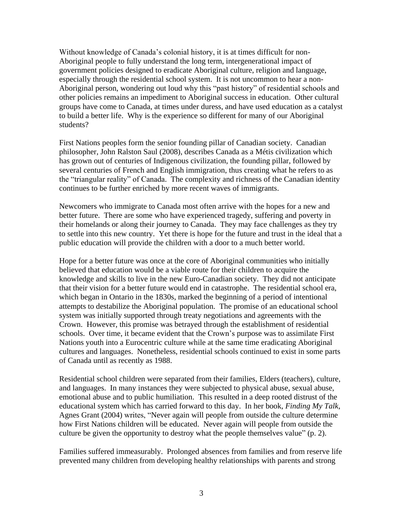Without knowledge of Canada's colonial history, it is at times difficult for non-Aboriginal people to fully understand the long term, intergenerational impact of government policies designed to eradicate Aboriginal culture, religion and language, especially through the residential school system. It is not uncommon to hear a non-Aboriginal person, wondering out loud why this "past history" of residential schools and other policies remains an impediment to Aboriginal success in education. Other cultural groups have come to Canada, at times under duress, and have used education as a catalyst to build a better life. Why is the experience so different for many of our Aboriginal students?

First Nations peoples form the senior founding pillar of Canadian society. Canadian philosopher, John Ralston Saul (2008), describes Canada as a Métis civilization which has grown out of centuries of Indigenous civilization, the founding pillar, followed by several centuries of French and English immigration, thus creating what he refers to as the "triangular reality" of Canada. The complexity and richness of the Canadian identity continues to be further enriched by more recent waves of immigrants.

Newcomers who immigrate to Canada most often arrive with the hopes for a new and better future. There are some who have experienced tragedy, suffering and poverty in their homelands or along their journey to Canada. They may face challenges as they try to settle into this new country. Yet there is hope for the future and trust in the ideal that a public education will provide the children with a door to a much better world.

Hope for a better future was once at the core of Aboriginal communities who initially believed that education would be a viable route for their children to acquire the knowledge and skills to live in the new Euro-Canadian society. They did not anticipate that their vision for a better future would end in catastrophe. The residential school era, which began in Ontario in the 1830s, marked the beginning of a period of intentional attempts to destabilize the Aboriginal population. The promise of an educational school system was initially supported through treaty negotiations and agreements with the Crown. However, this promise was betrayed through the establishment of residential schools. Over time, it became evident that the Crown's purpose was to assimilate First Nations youth into a Eurocentric culture while at the same time eradicating Aboriginal cultures and languages. Nonetheless, residential schools continued to exist in some parts of Canada until as recently as 1988.

Residential school children were separated from their families, Elders (teachers), culture, and languages. In many instances they were subjected to physical abuse, sexual abuse, emotional abuse and to public humiliation. This resulted in a deep rooted distrust of the educational system which has carried forward to this day. In her book, *Finding My Talk*, Agnes Grant (2004) writes, "Never again will people from outside the culture determine how First Nations children will be educated. Never again will people from outside the culture be given the opportunity to destroy what the people themselves value"  $(p, 2)$ .

Families suffered immeasurably. Prolonged absences from families and from reserve life prevented many children from developing healthy relationships with parents and strong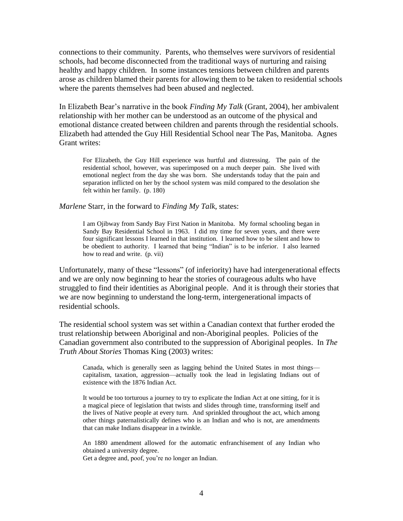connections to their community. Parents, who themselves were survivors of residential schools, had become disconnected from the traditional ways of nurturing and raising healthy and happy children. In some instances tensions between children and parents arose as children blamed their parents for allowing them to be taken to residential schools where the parents themselves had been abused and neglected.

In Elizabeth Bear's narrative in the book *Finding My Talk* (Grant, 2004)*,* her ambivalent relationship with her mother can be understood as an outcome of the physical and emotional distance created between children and parents through the residential schools. Elizabeth had attended the Guy Hill Residential School near The Pas, Manitoba. Agnes Grant writes:

For Elizabeth, the Guy Hill experience was hurtful and distressing. The pain of the residential school, however, was superimposed on a much deeper pain. She lived with emotional neglect from the day she was born. She understands today that the pain and separation inflicted on her by the school system was mild compared to the desolation she felt within her family. (p. 180)

*Marlene* Starr, in the forward to *Finding My Talk*, states:

I am Ojibway from Sandy Bay First Nation in Manitoba. My formal schooling began in Sandy Bay Residential School in 1963. I did my time for seven years, and there were four significant lessons I learned in that institution. I learned how to be silent and how to be obedient to authority. I learned that being "Indian" is to be inferior. I also learned how to read and write. (p. vii)

Unfortunately, many of these "lessons" (of inferiority) have had intergenerational effects and we are only now beginning to hear the stories of courageous adults who have struggled to find their identities as Aboriginal people. And it is through their stories that we are now beginning to understand the long-term, intergenerational impacts of residential schools.

The residential school system was set within a Canadian context that further eroded the trust relationship between Aboriginal and non-Aboriginal peoples. Policies of the Canadian government also contributed to the suppression of Aboriginal peoples. In *The Truth About Stories* Thomas King (2003) writes:

Canada, which is generally seen as lagging behind the United States in most things capitalism, taxation, aggression—actually took the lead in legislating Indians out of existence with the 1876 Indian Act.

It would be too torturous a journey to try to explicate the Indian Act at one sitting, for it is a magical piece of legislation that twists and slides through time, transforming itself and the lives of Native people at every turn. And sprinkled throughout the act, which among other things paternalistically defines who is an Indian and who is not, are amendments that can make Indians disappear in a twinkle.

An 1880 amendment allowed for the automatic enfranchisement of any Indian who obtained a university degree.

Get a degree and, poof, you're no longer an Indian.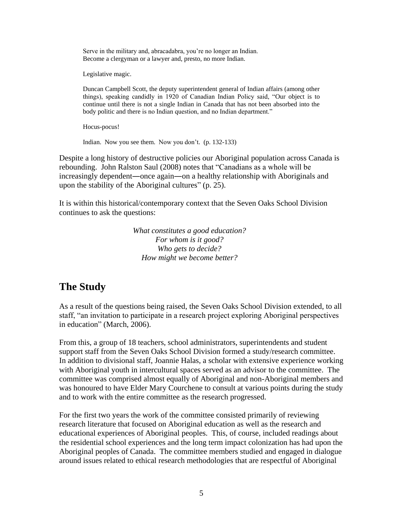Serve in the military and, abracadabra, you're no longer an Indian. Become a clergyman or a lawyer and, presto, no more Indian.

Legislative magic.

Duncan Campbell Scott, the deputy superintendent general of Indian affairs (among other things), speaking candidly in 1920 of Canadian Indian Policy said, "Our object is to continue until there is not a single Indian in Canada that has not been absorbed into the body politic and there is no Indian question, and no Indian department."

Hocus-pocus!

Indian. Now you see them. Now you don't. (p. 132-133)

Despite a long history of destructive policies our Aboriginal population across Canada is rebounding. John Ralston Saul (2008) notes that "Canadians as a whole will be increasingly dependent―once again―on a healthy relationship with Aboriginals and upon the stability of the Aboriginal cultures"  $(p. 25)$ .

It is within this historical/contemporary context that the Seven Oaks School Division continues to ask the questions:

> *What constitutes a good education? For whom is it good? Who gets to decide? How might we become better?*

# **The Study**

As a result of the questions being raised, the Seven Oaks School Division extended, to all staff, "an invitation to participate in a research project exploring Aboriginal perspectives in education" (March, 2006).

From this, a group of 18 teachers, school administrators, superintendents and student support staff from the Seven Oaks School Division formed a study/research committee. In addition to divisional staff, Joannie Halas, a scholar with extensive experience working with Aboriginal youth in intercultural spaces served as an advisor to the committee. The committee was comprised almost equally of Aboriginal and non-Aboriginal members and was honoured to have Elder Mary Courchene to consult at various points during the study and to work with the entire committee as the research progressed.

For the first two years the work of the committee consisted primarily of reviewing research literature that focused on Aboriginal education as well as the research and educational experiences of Aboriginal peoples. This, of course, included readings about the residential school experiences and the long term impact colonization has had upon the Aboriginal peoples of Canada. The committee members studied and engaged in dialogue around issues related to ethical research methodologies that are respectful of Aboriginal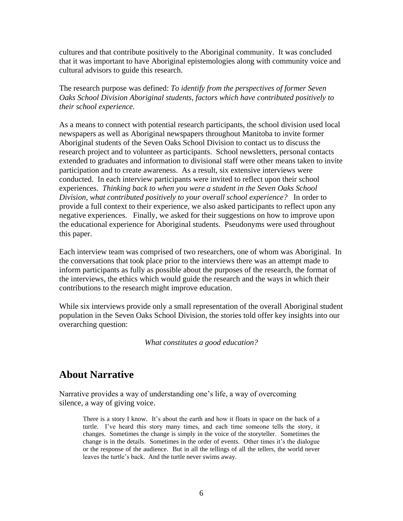cultures and that contribute positively to the Aboriginal community. It was concluded that it was important to have Aboriginal epistemologies along with community voice and cultural advisors to guide this research.

The research purpose was defined: *To identify from the perspectives of former Seven Oaks School Division Aboriginal students, factors which have contributed positively to their school experience.* 

As a means to connect with potential research participants, the school division used local newspapers as well as Aboriginal newspapers throughout Manitoba to invite former Aboriginal students of the Seven Oaks School Division to contact us to discuss the research project and to volunteer as participants. School newsletters, personal contacts extended to graduates and information to divisional staff were other means taken to invite participation and to create awareness. As a result, six extensive interviews were conducted. In each interview participants were invited to reflect upon their school experiences. *Thinking back to when you were a student in the Seven Oaks School Division, what contributed positively to your overall school experience?* In order to provide a full context to their experience, we also asked participants to reflect upon any negative experiences. Finally, we asked for their suggestions on how to improve upon the educational experience for Aboriginal students. Pseudonyms were used throughout this paper.

Each interview team was comprised of two researchers, one of whom was Aboriginal. In the conversations that took place prior to the interviews there was an attempt made to inform participants as fully as possible about the purposes of the research, the format of the interviews, the ethics which would guide the research and the ways in which their contributions to the research might improve education.

While six interviews provide only a small representation of the overall Aboriginal student population in the Seven Oaks School Division, the stories told offer key insights into our overarching question:

*What constitutes a good education?*

### **About Narrative**

Narrative provides a way of understanding one's life, a way of overcoming silence, a way of giving voice.

There is a story I know. It's about the earth and how it floats in space on the back of a turtle. I've heard this story many times, and each time someone tells the story, it changes. Sometimes the change is simply in the voice of the storyteller. Sometimes the change is in the details. Sometimes in the order of events. Other times it's the dialogue or the response of the audience. But in all the tellings of all the tellers, the world never leaves the turtle's back. And the turtle never swims away.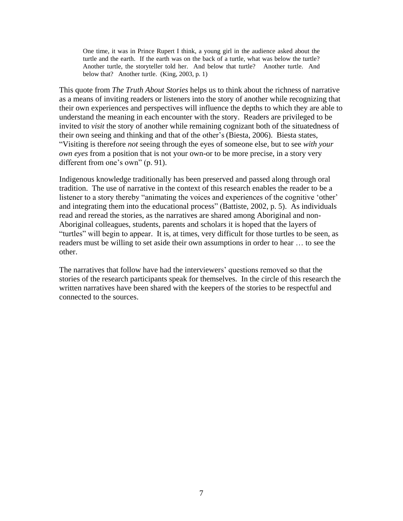One time, it was in Prince Rupert I think, a young girl in the audience asked about the turtle and the earth. If the earth was on the back of a turtle, what was below the turtle? Another turtle, the storyteller told her. And below that turtle? Another turtle. And below that? Another turtle. (King, 2003, p. 1)

This quote from *The Truth About Stories* helps us to think about the richness of narrative as a means of inviting readers or listeners into the story of another while recognizing that their own experiences and perspectives will influence the depths to which they are able to understand the meaning in each encounter with the story. Readers are privileged to be invited to *visit* the story of another while remaining cognizant both of the situatedness of their own seeing and thinking and that of the other's (Biesta, 2006). Biesta states, ―Visiting is therefore *not* seeing through the eyes of someone else, but to see *with your own eyes* from a position that is not your own-or to be more precise, in a story very different from one's own"  $(p. 91)$ .

Indigenous knowledge traditionally has been preserved and passed along through oral tradition. The use of narrative in the context of this research enables the reader to be a listener to a story thereby "animating the voices and experiences of the cognitive 'other' and integrating them into the educational process" (Battiste, 2002, p. 5). As individuals read and reread the stories, as the narratives are shared among Aboriginal and non-Aboriginal colleagues, students, parents and scholars it is hoped that the layers of ―turtles‖ will begin to appear. It is, at times, very difficult for those turtles to be seen, as readers must be willing to set aside their own assumptions in order to hear … to see the other.

The narratives that follow have had the interviewers' questions removed so that the stories of the research participants speak for themselves. In the circle of this research the written narratives have been shared with the keepers of the stories to be respectful and connected to the sources.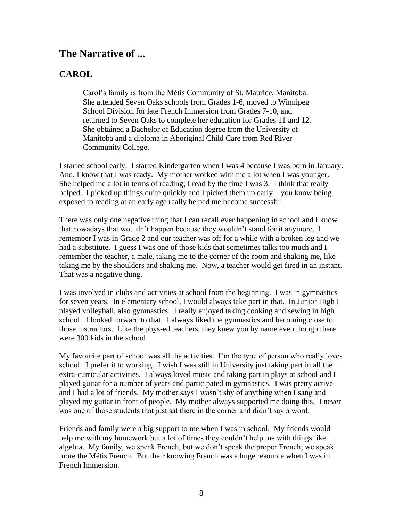## **The Narrative of ...**

### **CAROL**

Carol's family is from the Métis Community of St. Maurice, Manitoba. She attended Seven Oaks schools from Grades 1-6, moved to Winnipeg School Division for late French Immersion from Grades 7-10, and returned to Seven Oaks to complete her education for Grades 11 and 12. She obtained a Bachelor of Education degree from the University of Manitoba and a diploma in Aboriginal Child Care from Red River Community College.

I started school early. I started Kindergarten when I was 4 because I was born in January. And, I know that I was ready. My mother worked with me a lot when I was younger. She helped me a lot in terms of reading; I read by the time I was 3. I think that really helped. I picked up things quite quickly and I picked them up early—you know being exposed to reading at an early age really helped me become successful.

There was only one negative thing that I can recall ever happening in school and I know that nowadays that wouldn't happen because they wouldn't stand for it anymore. I remember I was in Grade 2 and our teacher was off for a while with a broken leg and we had a substitute. I guess I was one of those kids that sometimes talks too much and I remember the teacher, a male, taking me to the corner of the room and shaking me, like taking me by the shoulders and shaking me. Now, a teacher would get fired in an instant. That was a negative thing.

I was involved in clubs and activities at school from the beginning. I was in gymnastics for seven years. In elementary school, I would always take part in that. In Junior High I played volleyball, also gymnastics. I really enjoyed taking cooking and sewing in high school. I looked forward to that. I always liked the gymnastics and becoming close to those instructors. Like the phys-ed teachers, they knew you by name even though there were 300 kids in the school.

My favourite part of school was all the activities. I'm the type of person who really loves school. I prefer it to working. I wish I was still in University just taking part in all the extra-curricular activities. I always loved music and taking part in plays at school and I played guitar for a number of years and participated in gymnastics. I was pretty active and I had a lot of friends. My mother says I wasn't shy of anything when I sang and played my guitar in front of people. My mother always supported me doing this. I never was one of those students that just sat there in the corner and didn't say a word.

Friends and family were a big support to me when I was in school. My friends would help me with my homework but a lot of times they couldn't help me with things like algebra. My family, we speak French, but we don't speak the proper French; we speak more the Métis French. But their knowing French was a huge resource when I was in French Immersion.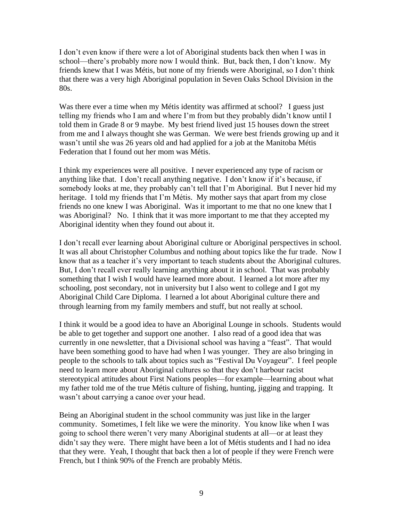I don't even know if there were a lot of Aboriginal students back then when I was in school—there's probably more now I would think. But, back then, I don't know. My friends knew that I was Métis, but none of my friends were Aboriginal, so I don't think that there was a very high Aboriginal population in Seven Oaks School Division in the 80s.

Was there ever a time when my Métis identity was affirmed at school? I guess just telling my friends who I am and where I'm from but they probably didn't know until I told them in Grade 8 or 9 maybe. My best friend lived just 15 houses down the street from me and I always thought she was German. We were best friends growing up and it wasn't until she was 26 years old and had applied for a job at the Manitoba Métis Federation that I found out her mom was Métis.

I think my experiences were all positive. I never experienced any type of racism or anything like that. I don't recall anything negative. I don't know if it's because, if somebody looks at me, they probably can't tell that I'm Aboriginal. But I never hid my heritage. I told my friends that I'm Métis. My mother says that apart from my close friends no one knew I was Aboriginal. Was it important to me that no one knew that I was Aboriginal? No. I think that it was more important to me that they accepted my Aboriginal identity when they found out about it.

I don't recall ever learning about Aboriginal culture or Aboriginal perspectives in school. It was all about Christopher Columbus and nothing about topics like the fur trade. Now I know that as a teacher it's very important to teach students about the Aboriginal cultures. But, I don't recall ever really learning anything about it in school. That was probably something that I wish I would have learned more about. I learned a lot more after my schooling, post secondary, not in university but I also went to college and I got my Aboriginal Child Care Diploma. I learned a lot about Aboriginal culture there and through learning from my family members and stuff, but not really at school.

I think it would be a good idea to have an Aboriginal Lounge in schools. Students would be able to get together and support one another. I also read of a good idea that was currently in one newsletter, that a Divisional school was having a "feast". That would have been something good to have had when I was younger. They are also bringing in people to the schools to talk about topics such as "Festival Du Voyageur". I feel people need to learn more about Aboriginal cultures so that they don't harbour racist stereotypical attitudes about First Nations peoples—for example—learning about what my father told me of the true Métis culture of fishing, hunting, jigging and trapping. It wasn't about carrying a canoe over your head.

Being an Aboriginal student in the school community was just like in the larger community. Sometimes, I felt like we were the minority. You know like when I was going to school there weren't very many Aboriginal students at all—or at least they didn't say they were. There might have been a lot of Métis students and I had no idea that they were. Yeah, I thought that back then a lot of people if they were French were French, but I think 90% of the French are probably Métis.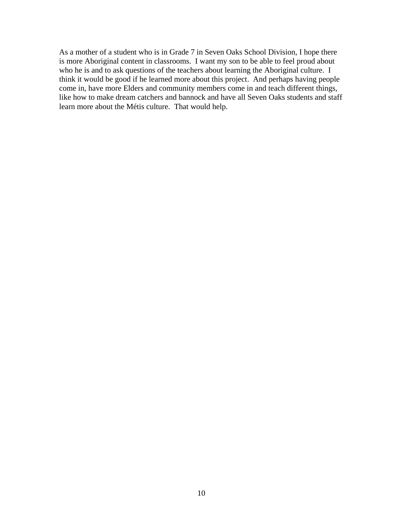As a mother of a student who is in Grade 7 in Seven Oaks School Division, I hope there is more Aboriginal content in classrooms. I want my son to be able to feel proud about who he is and to ask questions of the teachers about learning the Aboriginal culture. I think it would be good if he learned more about this project. And perhaps having people come in, have more Elders and community members come in and teach different things, like how to make dream catchers and bannock and have all Seven Oaks students and staff learn more about the Métis culture. That would help.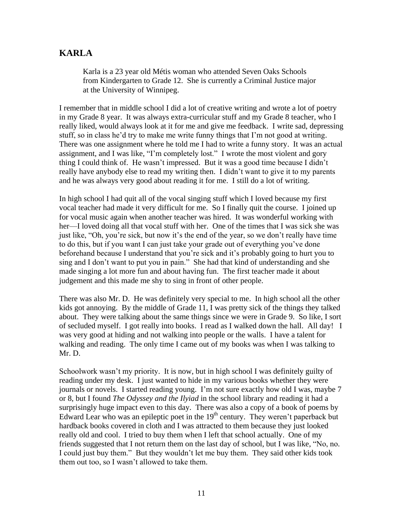### **KARLA**

Karla is a 23 year old Métis woman who attended Seven Oaks Schools from Kindergarten to Grade 12. She is currently a Criminal Justice major at the University of Winnipeg.

I remember that in middle school I did a lot of creative writing and wrote a lot of poetry in my Grade 8 year. It was always extra-curricular stuff and my Grade 8 teacher, who I really liked, would always look at it for me and give me feedback. I write sad, depressing stuff, so in class he'd try to make me write funny things that I'm not good at writing. There was one assignment where he told me I had to write a funny story. It was an actual assignment, and I was like, "I'm completely lost." I wrote the most violent and gory thing I could think of. He wasn't impressed. But it was a good time because I didn't really have anybody else to read my writing then. I didn't want to give it to my parents and he was always very good about reading it for me. I still do a lot of writing.

In high school I had quit all of the vocal singing stuff which I loved because my first vocal teacher had made it very difficult for me. So I finally quit the course. I joined up for vocal music again when another teacher was hired. It was wonderful working with her—I loved doing all that vocal stuff with her. One of the times that I was sick she was just like, "Oh, you're sick, but now it's the end of the year, so we don't really have time to do this, but if you want I can just take your grade out of everything you've done beforehand because I understand that you're sick and it's probably going to hurt you to sing and I don't want to put you in pain." She had that kind of understanding and she made singing a lot more fun and about having fun. The first teacher made it about judgement and this made me shy to sing in front of other people.

There was also Mr. D. He was definitely very special to me. In high school all the other kids got annoying. By the middle of Grade 11, I was pretty sick of the things they talked about. They were talking about the same things since we were in Grade 9. So like, I sort of secluded myself. I got really into books. I read as I walked down the hall. All day! I was very good at hiding and not walking into people or the walls. I have a talent for walking and reading. The only time I came out of my books was when I was talking to Mr. D.

Schoolwork wasn't my priority. It is now, but in high school I was definitely guilty of reading under my desk. I just wanted to hide in my various books whether they were journals or novels. I started reading young. I'm not sure exactly how old I was, maybe 7 or 8, but I found *The Odyssey and the Ilyiad* in the school library and reading it had a surprisingly huge impact even to this day. There was also a copy of a book of poems by Edward Lear who was an epileptic poet in the  $19<sup>th</sup>$  century. They weren't paperback but hardback books covered in cloth and I was attracted to them because they just looked really old and cool. I tried to buy them when I left that school actually. One of my friends suggested that I not return them on the last day of school, but I was like,  $\degree$ No, no. I could just buy them." But they wouldn't let me buy them. They said other kids took them out too, so I wasn't allowed to take them.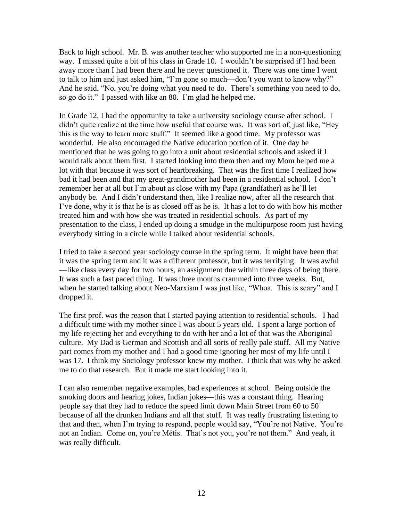Back to high school. Mr. B. was another teacher who supported me in a non-questioning way. I missed quite a bit of his class in Grade 10. I wouldn't be surprised if I had been away more than I had been there and he never questioned it. There was one time I went to talk to him and just asked him, "I'm gone so much—don't you want to know why?" And he said, "No, you're doing what you need to do. There's something you need to do, so go do it." I passed with like an 80. I'm glad he helped me.

In Grade 12, I had the opportunity to take a university sociology course after school. I didn't quite realize at the time how useful that course was. It was sort of, just like, "Hey this is the way to learn more stuff." It seemed like a good time. My professor was wonderful. He also encouraged the Native education portion of it. One day he mentioned that he was going to go into a unit about residential schools and asked if I would talk about them first. I started looking into them then and my Mom helped me a lot with that because it was sort of heartbreaking. That was the first time I realized how bad it had been and that my great-grandmother had been in a residential school. I don't remember her at all but I'm about as close with my Papa (grandfather) as he'll let anybody be. And I didn't understand then, like I realize now, after all the research that I've done, why it is that he is as closed off as he is. It has a lot to do with how his mother treated him and with how she was treated in residential schools. As part of my presentation to the class, I ended up doing a smudge in the multipurpose room just having everybody sitting in a circle while I talked about residential schools.

I tried to take a second year sociology course in the spring term. It might have been that it was the spring term and it was a different professor, but it was terrifying. It was awful —like class every day for two hours, an assignment due within three days of being there. It was such a fast paced thing. It was three months crammed into three weeks. But, when he started talking about Neo-Marxism I was just like, "Whoa. This is scary" and I dropped it.

The first prof. was the reason that I started paying attention to residential schools. I had a difficult time with my mother since I was about 5 years old. I spent a large portion of my life rejecting her and everything to do with her and a lot of that was the Aboriginal culture. My Dad is German and Scottish and all sorts of really pale stuff. All my Native part comes from my mother and I had a good time ignoring her most of my life until I was 17. I think my Sociology professor knew my mother. I think that was why he asked me to do that research. But it made me start looking into it.

I can also remember negative examples, bad experiences at school. Being outside the smoking doors and hearing jokes, Indian jokes—this was a constant thing. Hearing people say that they had to reduce the speed limit down Main Street from 60 to 50 because of all the drunken Indians and all that stuff. It was really frustrating listening to that and then, when I'm trying to respond, people would say, "You're not Native. You're not an Indian. Come on, you're Métis. That's not you, you're not them." And yeah, it was really difficult.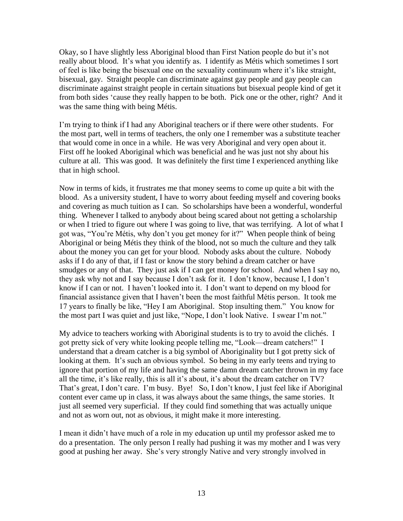Okay, so I have slightly less Aboriginal blood than First Nation people do but it's not really about blood. It's what you identify as. I identify as Métis which sometimes I sort of feel is like being the bisexual one on the sexuality continuum where it's like straight, bisexual, gay. Straight people can discriminate against gay people and gay people can discriminate against straight people in certain situations but bisexual people kind of get it from both sides 'cause they really happen to be both. Pick one or the other, right? And it was the same thing with being Métis.

I'm trying to think if I had any Aboriginal teachers or if there were other students. For the most part, well in terms of teachers, the only one I remember was a substitute teacher that would come in once in a while. He was very Aboriginal and very open about it. First off he looked Aboriginal which was beneficial and he was just not shy about his culture at all. This was good. It was definitely the first time I experienced anything like that in high school.

Now in terms of kids, it frustrates me that money seems to come up quite a bit with the blood. As a university student, I have to worry about feeding myself and covering books and covering as much tuition as I can. So scholarships have been a wonderful, wonderful thing. Whenever I talked to anybody about being scared about not getting a scholarship or when I tried to figure out where I was going to live, that was terrifying. A lot of what I got was, "You're Métis, why don't you get money for it?" When people think of being Aboriginal or being Métis they think of the blood, not so much the culture and they talk about the money you can get for your blood. Nobody asks about the culture. Nobody asks if I do any of that, if I fast or know the story behind a dream catcher or have smudges or any of that. They just ask if I can get money for school. And when I say no, they ask why not and I say because I don't ask for it. I don't know, because I, I don't know if I can or not. I haven't looked into it. I don't want to depend on my blood for financial assistance given that I haven't been the most faithful Métis person. It took me 17 years to finally be like, "Hey I am Aboriginal. Stop insulting them." You know for the most part I was quiet and just like, "Nope, I don't look Native. I swear I'm not."

My advice to teachers working with Aboriginal students is to try to avoid the clichés. I got pretty sick of very white looking people telling me, "Look—dream catchers!" I understand that a dream catcher is a big symbol of Aboriginality but I got pretty sick of looking at them. It's such an obvious symbol. So being in my early teens and trying to ignore that portion of my life and having the same damn dream catcher thrown in my face all the time, it's like really, this is all it's about, it's about the dream catcher on TV? That's great, I don't care. I'm busy. Bye! So, I don't know, I just feel like if Aboriginal content ever came up in class, it was always about the same things, the same stories. It just all seemed very superficial. If they could find something that was actually unique and not as worn out, not as obvious, it might make it more interesting.

I mean it didn't have much of a role in my education up until my professor asked me to do a presentation. The only person I really had pushing it was my mother and I was very good at pushing her away. She's very strongly Native and very strongly involved in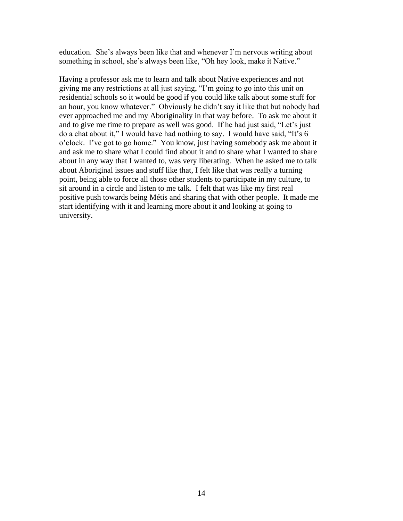education. She's always been like that and whenever I'm nervous writing about something in school, she's always been like, "Oh hey look, make it Native."

Having a professor ask me to learn and talk about Native experiences and not giving me any restrictions at all just saying, "I'm going to go into this unit on residential schools so it would be good if you could like talk about some stuff for an hour, you know whatever." Obviously he didn't say it like that but nobody had ever approached me and my Aboriginality in that way before. To ask me about it and to give me time to prepare as well was good. If he had just said, "Let's just do a chat about it," I would have had nothing to say. I would have said, "It's  $6$ o'clock. I've got to go home." You know, just having somebody ask me about it and ask me to share what I could find about it and to share what I wanted to share about in any way that I wanted to, was very liberating. When he asked me to talk about Aboriginal issues and stuff like that, I felt like that was really a turning point, being able to force all those other students to participate in my culture, to sit around in a circle and listen to me talk. I felt that was like my first real positive push towards being Métis and sharing that with other people. It made me start identifying with it and learning more about it and looking at going to university.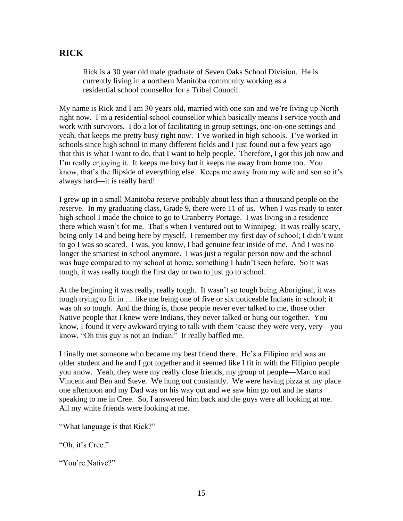### **RICK**

Rick is a 30 year old male graduate of Seven Oaks School Division. He is currently living in a northern Manitoba community working as a residential school counsellor for a Tribal Council.

My name is Rick and I am 30 years old, married with one son and we're living up North right now. I'm a residential school counsellor which basically means I service youth and work with survivors. I do a lot of facilitating in group settings, one-on-one settings and yeah, that keeps me pretty busy right now. I've worked in high schools. I've worked in schools since high school in many different fields and I just found out a few years ago that this is what I want to do, that I want to help people. Therefore, I got this job now and I'm really enjoying it. It keeps me busy but it keeps me away from home too. You know, that's the flipside of everything else. Keeps me away from my wife and son so it's always hard—it is really hard!

I grew up in a small Manitoba reserve probably about less than a thousand people on the reserve. In my graduating class, Grade 9, there were 11 of us. When I was ready to enter high school I made the choice to go to Cranberry Portage. I was living in a residence there which wasn't for me. That's when I ventured out to Winnipeg. It was really scary, being only 14 and being here by myself. I remember my first day of school; I didn't want to go I was so scared. I was, you know, I had genuine fear inside of me. And I was no longer the smartest in school anymore. I was just a regular person now and the school was huge compared to my school at home, something I hadn't seen before. So it was tough, it was really tough the first day or two to just go to school.

At the beginning it was really, really tough. It wasn't so tough being Aboriginal, it was tough trying to fit in … like me being one of five or six noticeable Indians in school; it was oh so tough. And the thing is, those people never ever talked to me, those other Native people that I knew were Indians, they never talked or hung out together. You know, I found it very awkward trying to talk with them 'cause they were very, very—you know, "Oh this guy is not an Indian." It really baffled me.

I finally met someone who became my best friend there. He's a Filipino and was an older student and he and I got together and it seemed like I fit in with the Filipino people you know. Yeah, they were my really close friends, my group of people—Marco and Vincent and Ben and Steve. We hung out constantly. We were having pizza at my place one afternoon and my Dad was on his way out and we saw him go out and he starts speaking to me in Cree. So, I answered him back and the guys were all looking at me. All my white friends were looking at me.

"What language is that Rick?"

"Oh, it's Cree."

"You're Native?"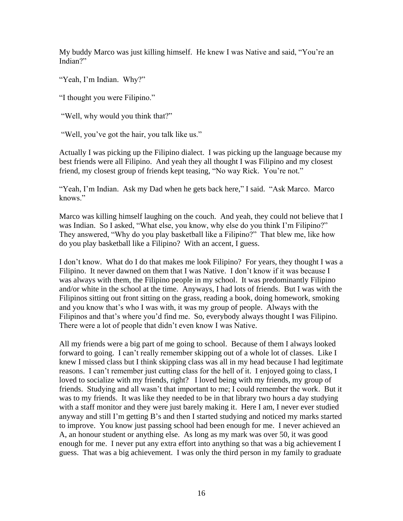My buddy Marco was just killing himself. He knew I was Native and said, "You're an Indian?"

"Yeah, I'm Indian. Why?"

"I thought you were Filipino."

"Well, why would you think that?"

"Well, you've got the hair, you talk like us."

Actually I was picking up the Filipino dialect. I was picking up the language because my best friends were all Filipino. And yeah they all thought I was Filipino and my closest friend, my closest group of friends kept teasing, "No way Rick. You're not."

"Yeah, I'm Indian. Ask my Dad when he gets back here," I said. "Ask Marco. Marco knows."

Marco was killing himself laughing on the couch. And yeah, they could not believe that I was Indian. So I asked, "What else, you know, why else do you think I'm Filipino?" They answered, "Why do you play basketball like a Filipino?" That blew me, like how do you play basketball like a Filipino? With an accent, I guess.

I don't know. What do I do that makes me look Filipino? For years, they thought I was a Filipino. It never dawned on them that I was Native. I don't know if it was because I was always with them, the Filipino people in my school. It was predominantly Filipino and/or white in the school at the time. Anyways, I had lots of friends. But I was with the Filipinos sitting out front sitting on the grass, reading a book, doing homework, smoking and you know that's who I was with, it was my group of people. Always with the Filipinos and that's where you'd find me. So, everybody always thought I was Filipino. There were a lot of people that didn't even know I was Native.

All my friends were a big part of me going to school. Because of them I always looked forward to going. I can't really remember skipping out of a whole lot of classes. Like I knew I missed class but I think skipping class was all in my head because I had legitimate reasons. I can't remember just cutting class for the hell of it. I enjoyed going to class, I loved to socialize with my friends, right? I loved being with my friends, my group of friends. Studying and all wasn't that important to me; I could remember the work. But it was to my friends. It was like they needed to be in that library two hours a day studying with a staff monitor and they were just barely making it. Here I am, I never ever studied anyway and still I'm getting B's and then I started studying and noticed my marks started to improve. You know just passing school had been enough for me. I never achieved an A, an honour student or anything else. As long as my mark was over 50, it was good enough for me. I never put any extra effort into anything so that was a big achievement I guess. That was a big achievement. I was only the third person in my family to graduate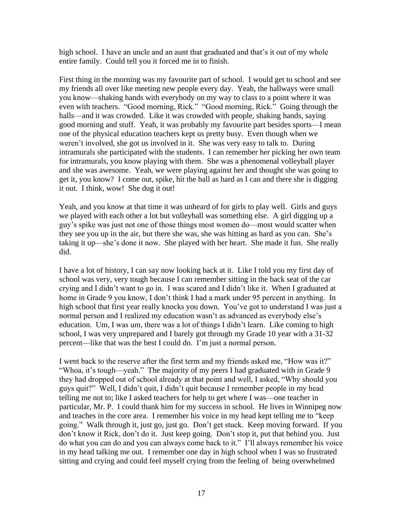high school. I have an uncle and an aunt that graduated and that's it out of my whole entire family. Could tell you it forced me in to finish.

First thing in the morning was my favourite part of school. I would get to school and see my friends all over like meeting new people every day. Yeah, the hallways were small you know—shaking hands with everybody on my way to class to a point where it was even with teachers. "Good morning, Rick." "Good morning, Rick." Going through the halls—and it was crowded. Like it was crowded with people, shaking hands, saying good morning and stuff. Yeah, it was probably my favourite part besides sports—I mean one of the physical education teachers kept us pretty busy. Even though when we weren't involved, she got us involved in it. She was very easy to talk to. During intramurals she participated with the students. I can remember her picking her own team for intramurals, you know playing with them. She was a phenomenal volleyball player and she was awesome. Yeah, we were playing against her and thought she was going to get it, you know? I come out, spike, hit the ball as hard as I can and there she is digging it out. I think, wow! She dug it out!

Yeah, and you know at that time it was unheard of for girls to play well. Girls and guys we played with each other a lot but volleyball was something else. A girl digging up a guy's spike was just not one of those things most women do—most would scatter when they see you up in the air, but there she was, she was hitting as hard as you can. She's taking it up—she's done it now. She played with her heart. She made it fun. She really did.

I have a lot of history, I can say now looking back at it. Like I told you my first day of school was very, very tough because I can remember sitting in the back seat of the car crying and I didn't want to go in. I was scared and I didn't like it. When I graduated at home in Grade 9 you know, I don't think I had a mark under 95 percent in anything. In high school that first year really knocks you down. You've got to understand I was just a normal person and I realized my education wasn't as advanced as everybody else's education. Um, I was um, there was a lot of things I didn't learn. Like coming to high school, I was very unprepared and I barely got through my Grade 10 year with a 31-32 percent—like that was the best I could do. I'm just a normal person.

I went back to the reserve after the first term and my friends asked me, "How was it?" "Whoa, it's tough—yeah." The majority of my peers I had graduated with in Grade 9 they had dropped out of school already at that point and well, I asked, "Why should you guys quit?‖ Well, I didn't quit, I didn't quit because I remember people in my head telling me not to; like I asked teachers for help to get where I was—one teacher in particular, Mr. P. I could thank him for my success in school. He lives in Winnipeg now and teaches in the core area. I remember his voice in my head kept telling me to "keep" going.‖ Walk through it, just go, just go. Don't get stuck. Keep moving forward. If you don't know it Rick, don't do it. Just keep going. Don't stop it, put that behind you. Just do what you can do and you can always come back to it." I'll always remember his voice in my head talking me out. I remember one day in high school when I was so frustrated sitting and crying and could feel myself crying from the feeling of being overwhelmed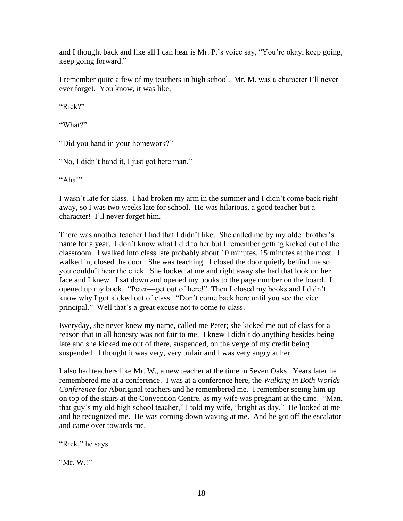and I thought back and like all I can hear is Mr. P.'s voice say, "You're okay, keep going, keep going forward."

I remember quite a few of my teachers in high school. Mr. M. was a character I'll never ever forget. You know, it was like,

" $Rick$ ?"

―What?‖

"Did you hand in your homework?"

"No, I didn't hand it, I just got here man."

"Aha!"

I wasn't late for class. I had broken my arm in the summer and I didn't come back right away, so I was two weeks late for school. He was hilarious, a good teacher but a character! I'll never forget him.

There was another teacher I had that I didn't like. She called me by my older brother's name for a year. I don't know what I did to her but I remember getting kicked out of the classroom. I walked into class late probably about 10 minutes, 15 minutes at the most. I walked in, closed the door. She was teaching. I closed the door quietly behind me so you couldn't hear the click. She looked at me and right away she had that look on her face and I knew. I sat down and opened my books to the page number on the board. I opened up my book. "Peter—get out of here!" Then I closed my books and I didn't know why I got kicked out of class. "Don't come back here until you see the vice principal." Well that's a great excuse not to come to class.

Everyday, she never knew my name, called me Peter; she kicked me out of class for a reason that in all honesty was not fair to me. I knew I didn't do anything besides being late and she kicked me out of there, suspended, on the verge of my credit being suspended. I thought it was very, very unfair and I was very angry at her.

I also had teachers like Mr. W., a new teacher at the time in Seven Oaks. Years later he remembered me at a conference. I was at a conference here, the *Walking in Both Worlds Conference* for Aboriginal teachers and he remembered me. I remember seeing him up on top of the stairs at the Convention Centre, as my wife was pregnant at the time. "Man, that guy's my old high school teacher," I told my wife, "bright as day." He looked at me and he recognized me. He was coming down waving at me. And he got off the escalator and came over towards me.

"Rick," he says.

" $Mr. W.$ !"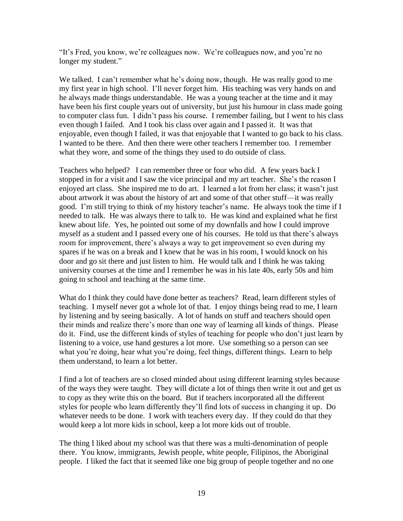"It's Fred, you know, we're colleagues now. We're colleagues now, and you're no longer my student."

We talked. I can't remember what he's doing now, though. He was really good to me my first year in high school. I'll never forget him. His teaching was very hands on and he always made things understandable. He was a young teacher at the time and it may have been his first couple years out of university, but just his humour in class made going to computer class fun. I didn't pass his course. I remember failing, but I went to his class even though I failed. And I took his class over again and I passed it. It was that enjoyable, even though I failed, it was that enjoyable that I wanted to go back to his class. I wanted to be there. And then there were other teachers I remember too. I remember what they wore, and some of the things they used to do outside of class.

Teachers who helped? I can remember three or four who did. A few years back I stopped in for a visit and I saw the vice principal and my art teacher. She's the reason I enjoyed art class. She inspired me to do art. I learned a lot from her class; it wasn't just about artwork it was about the history of art and some of that other stuff—it was really good. I'm still trying to think of my history teacher's name. He always took the time if I needed to talk. He was always there to talk to. He was kind and explained what he first knew about life. Yes, he pointed out some of my downfalls and how I could improve myself as a student and I passed every one of his courses. He told us that there's always room for improvement, there's always a way to get improvement so even during my spares if he was on a break and I knew that he was in his room, I would knock on his door and go sit there and just listen to him. He would talk and I think he was taking university courses at the time and I remember he was in his late 40s, early 50s and him going to school and teaching at the same time.

What do I think they could have done better as teachers? Read, learn different styles of teaching. I myself never got a whole lot of that. I enjoy things being read to me, I learn by listening and by seeing basically. A lot of hands on stuff and teachers should open their minds and realize there's more than one way of learning all kinds of things. Please do it. Find, use the different kinds of styles of teaching for people who don't just learn by listening to a voice, use hand gestures a lot more. Use something so a person can see what you're doing, hear what you're doing, feel things, different things. Learn to help them understand, to learn a lot better.

I find a lot of teachers are so closed minded about using different learning styles because of the ways they were taught. They will dictate a lot of things then write it out and get us to copy as they write this on the board. But if teachers incorporated all the different styles for people who learn differently they'll find lots of success in changing it up. Do whatever needs to be done. I work with teachers every day. If they could do that they would keep a lot more kids in school, keep a lot more kids out of trouble.

The thing I liked about my school was that there was a multi-denomination of people there. You know, immigrants, Jewish people, white people, Filipinos, the Aboriginal people. I liked the fact that it seemed like one big group of people together and no one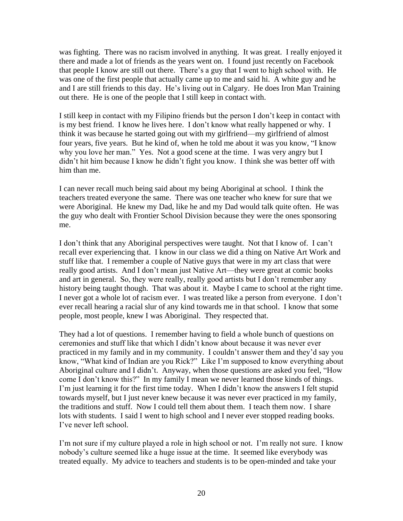was fighting. There was no racism involved in anything. It was great. I really enjoyed it there and made a lot of friends as the years went on. I found just recently on Facebook that people I know are still out there. There's a guy that I went to high school with. He was one of the first people that actually came up to me and said hi. A white guy and he and I are still friends to this day. He's living out in Calgary. He does Iron Man Training out there. He is one of the people that I still keep in contact with.

I still keep in contact with my Filipino friends but the person I don't keep in contact with is my best friend. I know he lives here. I don't know what really happened or why. I think it was because he started going out with my girlfriend—my girlfriend of almost four years, five years. But he kind of, when he told me about it was you know, "I know why you love her man." Yes. Not a good scene at the time. I was very angry but I didn't hit him because I know he didn't fight you know. I think she was better off with him than me.

I can never recall much being said about my being Aboriginal at school. I think the teachers treated everyone the same. There was one teacher who knew for sure that we were Aboriginal. He knew my Dad, like he and my Dad would talk quite often. He was the guy who dealt with Frontier School Division because they were the ones sponsoring me.

I don't think that any Aboriginal perspectives were taught. Not that I know of. I can't recall ever experiencing that. I know in our class we did a thing on Native Art Work and stuff like that. I remember a couple of Native guys that were in my art class that were really good artists. And I don't mean just Native Art—they were great at comic books and art in general. So, they were really, really good artists but I don't remember any history being taught though. That was about it. Maybe I came to school at the right time. I never got a whole lot of racism ever. I was treated like a person from everyone. I don't ever recall hearing a racial slur of any kind towards me in that school. I know that some people, most people, knew I was Aboriginal. They respected that.

They had a lot of questions. I remember having to field a whole bunch of questions on ceremonies and stuff like that which I didn't know about because it was never ever practiced in my family and in my community. I couldn't answer them and they'd say you know, "What kind of Indian are you Rick?" Like I'm supposed to know everything about Aboriginal culture and I didn't. Anyway, when those questions are asked you feel, "How come I don't know this?" In my family I mean we never learned those kinds of things. I'm just learning it for the first time today. When I didn't know the answers I felt stupid towards myself, but I just never knew because it was never ever practiced in my family, the traditions and stuff. Now I could tell them about them. I teach them now. I share lots with students. I said I went to high school and I never ever stopped reading books. I've never left school.

I'm not sure if my culture played a role in high school or not. I'm really not sure. I know nobody's culture seemed like a huge issue at the time. It seemed like everybody was treated equally. My advice to teachers and students is to be open-minded and take your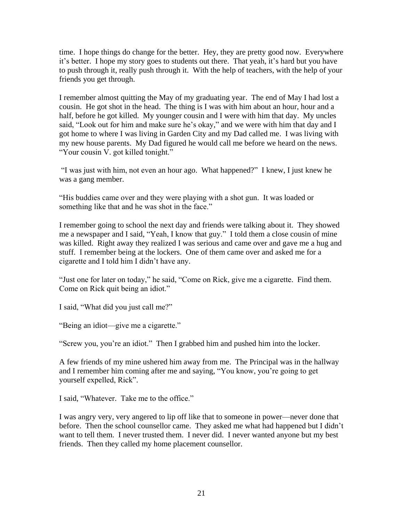time. I hope things do change for the better. Hey, they are pretty good now. Everywhere it's better. I hope my story goes to students out there. That yeah, it's hard but you have to push through it, really push through it. With the help of teachers, with the help of your friends you get through.

I remember almost quitting the May of my graduating year. The end of May I had lost a cousin. He got shot in the head. The thing is I was with him about an hour, hour and a half, before he got killed. My younger cousin and I were with him that day. My uncles said, "Look out for him and make sure he's okay," and we were with him that day and I got home to where I was living in Garden City and my Dad called me. I was living with my new house parents. My Dad figured he would call me before we heard on the news. "Your cousin V. got killed tonight."

―I was just with him, not even an hour ago. What happened?‖ I knew, I just knew he was a gang member.

"His buddies came over and they were playing with a shot gun. It was loaded or something like that and he was shot in the face."

I remember going to school the next day and friends were talking about it. They showed me a newspaper and I said, "Yeah, I know that guy." I told them a close cousin of mine was killed. Right away they realized I was serious and came over and gave me a hug and stuff. I remember being at the lockers. One of them came over and asked me for a cigarette and I told him I didn't have any.

"Just one for later on today," he said, "Come on Rick, give me a cigarette. Find them. Come on Rick quit being an idiot."

I said, "What did you just call me?"

"Being an idiot—give me a cigarette."

"Screw you, you're an idiot." Then I grabbed him and pushed him into the locker.

A few friends of my mine ushered him away from me. The Principal was in the hallway and I remember him coming after me and saying, "You know, you're going to get yourself expelled, Rick".

I said, "Whatever. Take me to the office."

I was angry very, very angered to lip off like that to someone in power—never done that before. Then the school counsellor came. They asked me what had happened but I didn't want to tell them. I never trusted them. I never did. I never wanted anyone but my best friends. Then they called my home placement counsellor.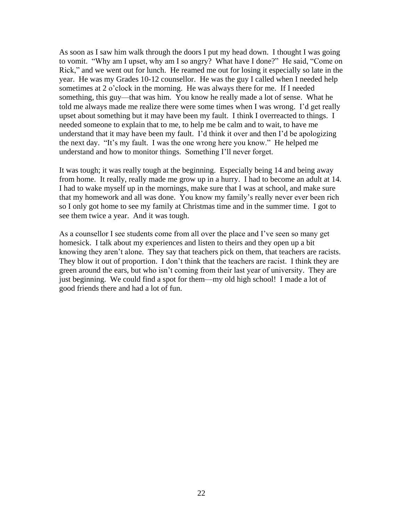As soon as I saw him walk through the doors I put my head down. I thought I was going to vomit. "Why am I upset, why am I so angry? What have I done?" He said, "Come on Rick," and we went out for lunch. He reamed me out for losing it especially so late in the year. He was my Grades 10-12 counsellor. He was the guy I called when I needed help sometimes at 2 o'clock in the morning. He was always there for me. If I needed something, this guy—that was him. You know he really made a lot of sense. What he told me always made me realize there were some times when I was wrong. I'd get really upset about something but it may have been my fault. I think I overreacted to things. I needed someone to explain that to me, to help me be calm and to wait, to have me understand that it may have been my fault. I'd think it over and then I'd be apologizing the next day. "It's my fault. I was the one wrong here you know." He helped me understand and how to monitor things. Something I'll never forget.

It was tough; it was really tough at the beginning. Especially being 14 and being away from home. It really, really made me grow up in a hurry. I had to become an adult at 14. I had to wake myself up in the mornings, make sure that I was at school, and make sure that my homework and all was done. You know my family's really never ever been rich so I only got home to see my family at Christmas time and in the summer time. I got to see them twice a year. And it was tough.

As a counsellor I see students come from all over the place and I've seen so many get homesick. I talk about my experiences and listen to theirs and they open up a bit knowing they aren't alone. They say that teachers pick on them, that teachers are racists. They blow it out of proportion. I don't think that the teachers are racist. I think they are green around the ears, but who isn't coming from their last year of university. They are just beginning. We could find a spot for them—my old high school! I made a lot of good friends there and had a lot of fun.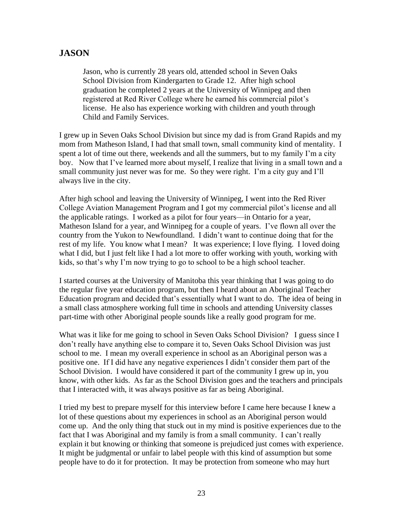### **JASON**

Jason, who is currently 28 years old, attended school in Seven Oaks School Division from Kindergarten to Grade 12. After high school graduation he completed 2 years at the University of Winnipeg and then registered at Red River College where he earned his commercial pilot's license. He also has experience working with children and youth through Child and Family Services.

I grew up in Seven Oaks School Division but since my dad is from Grand Rapids and my mom from Matheson Island, I had that small town, small community kind of mentality. I spent a lot of time out there, weekends and all the summers, but to my family I'm a city boy. Now that I've learned more about myself, I realize that living in a small town and a small community just never was for me. So they were right. I'm a city guy and I'll always live in the city.

After high school and leaving the University of Winnipeg, I went into the Red River College Aviation Management Program and I got my commercial pilot's license and all the applicable ratings. I worked as a pilot for four years—in Ontario for a year, Matheson Island for a year, and Winnipeg for a couple of years. I've flown all over the country from the Yukon to Newfoundland. I didn't want to continue doing that for the rest of my life. You know what I mean? It was experience; I love flying. I loved doing what I did, but I just felt like I had a lot more to offer working with youth, working with kids, so that's why I'm now trying to go to school to be a high school teacher.

I started courses at the University of Manitoba this year thinking that I was going to do the regular five year education program, but then I heard about an Aboriginal Teacher Education program and decided that's essentially what I want to do. The idea of being in a small class atmosphere working full time in schools and attending University classes part-time with other Aboriginal people sounds like a really good program for me.

What was it like for me going to school in Seven Oaks School Division? I guess since I don't really have anything else to compare it to, Seven Oaks School Division was just school to me. I mean my overall experience in school as an Aboriginal person was a positive one. If I did have any negative experiences I didn't consider them part of the School Division. I would have considered it part of the community I grew up in, you know, with other kids. As far as the School Division goes and the teachers and principals that I interacted with, it was always positive as far as being Aboriginal.

I tried my best to prepare myself for this interview before I came here because I knew a lot of these questions about my experiences in school as an Aboriginal person would come up. And the only thing that stuck out in my mind is positive experiences due to the fact that I was Aboriginal and my family is from a small community. I can't really explain it but knowing or thinking that someone is prejudiced just comes with experience. It might be judgmental or unfair to label people with this kind of assumption but some people have to do it for protection. It may be protection from someone who may hurt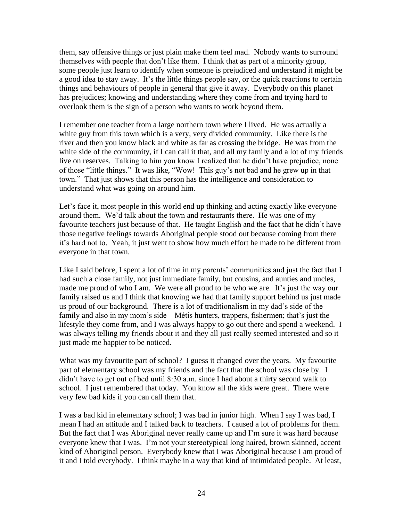them, say offensive things or just plain make them feel mad. Nobody wants to surround themselves with people that don't like them. I think that as part of a minority group, some people just learn to identify when someone is prejudiced and understand it might be a good idea to stay away. It's the little things people say, or the quick reactions to certain things and behaviours of people in general that give it away. Everybody on this planet has prejudices; knowing and understanding where they come from and trying hard to overlook them is the sign of a person who wants to work beyond them.

I remember one teacher from a large northern town where I lived. He was actually a white guy from this town which is a very, very divided community. Like there is the river and then you know black and white as far as crossing the bridge. He was from the white side of the community, if I can call it that, and all my family and a lot of my friends live on reserves. Talking to him you know I realized that he didn't have prejudice, none of those "little things." It was like, "Wow! This guy's not bad and he grew up in that town." That just shows that this person has the intelligence and consideration to understand what was going on around him.

Let's face it, most people in this world end up thinking and acting exactly like everyone around them. We'd talk about the town and restaurants there. He was one of my favourite teachers just because of that. He taught English and the fact that he didn't have those negative feelings towards Aboriginal people stood out because coming from there it's hard not to. Yeah, it just went to show how much effort he made to be different from everyone in that town.

Like I said before, I spent a lot of time in my parents' communities and just the fact that I had such a close family, not just immediate family, but cousins, and aunties and uncles, made me proud of who I am. We were all proud to be who we are. It's just the way our family raised us and I think that knowing we had that family support behind us just made us proud of our background. There is a lot of traditionalism in my dad's side of the family and also in my mom's side—Métis hunters, trappers, fishermen; that's just the lifestyle they come from, and I was always happy to go out there and spend a weekend. I was always telling my friends about it and they all just really seemed interested and so it just made me happier to be noticed.

What was my favourite part of school? I guess it changed over the years. My favourite part of elementary school was my friends and the fact that the school was close by. I didn't have to get out of bed until 8:30 a.m. since I had about a thirty second walk to school. I just remembered that today. You know all the kids were great. There were very few bad kids if you can call them that.

I was a bad kid in elementary school; I was bad in junior high. When I say I was bad, I mean I had an attitude and I talked back to teachers. I caused a lot of problems for them. But the fact that I was Aboriginal never really came up and I'm sure it was hard because everyone knew that I was. I'm not your stereotypical long haired, brown skinned, accent kind of Aboriginal person. Everybody knew that I was Aboriginal because I am proud of it and I told everybody. I think maybe in a way that kind of intimidated people. At least,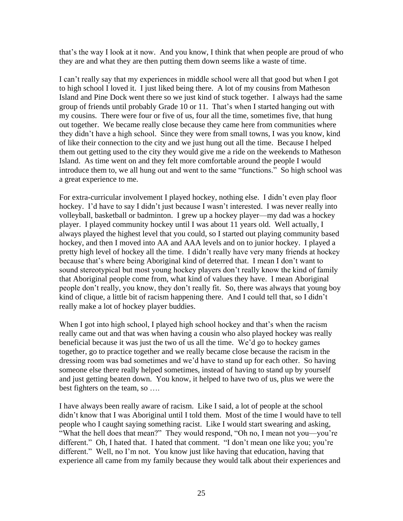that's the way I look at it now. And you know, I think that when people are proud of who they are and what they are then putting them down seems like a waste of time.

I can't really say that my experiences in middle school were all that good but when I got to high school I loved it. I just liked being there. A lot of my cousins from Matheson Island and Pine Dock went there so we just kind of stuck together. I always had the same group of friends until probably Grade 10 or 11. That's when I started hanging out with my cousins. There were four or five of us, four all the time, sometimes five, that hung out together. We became really close because they came here from communities where they didn't have a high school. Since they were from small towns, I was you know, kind of like their connection to the city and we just hung out all the time. Because I helped them out getting used to the city they would give me a ride on the weekends to Matheson Island. As time went on and they felt more comfortable around the people I would introduce them to, we all hung out and went to the same "functions." So high school was a great experience to me.

For extra-curricular involvement I played hockey, nothing else. I didn't even play floor hockey. I'd have to say I didn't just because I wasn't interested. I was never really into volleyball, basketball or badminton. I grew up a hockey player—my dad was a hockey player. I played community hockey until I was about 11 years old. Well actually, I always played the highest level that you could, so I started out playing community based hockey, and then I moved into AA and AAA levels and on to junior hockey. I played a pretty high level of hockey all the time. I didn't really have very many friends at hockey because that's where being Aboriginal kind of deterred that. I mean I don't want to sound stereotypical but most young hockey players don't really know the kind of family that Aboriginal people come from, what kind of values they have. I mean Aboriginal people don't really, you know, they don't really fit. So, there was always that young boy kind of clique, a little bit of racism happening there. And I could tell that, so I didn't really make a lot of hockey player buddies.

When I got into high school, I played high school hockey and that's when the racism really came out and that was when having a cousin who also played hockey was really beneficial because it was just the two of us all the time. We'd go to hockey games together, go to practice together and we really became close because the racism in the dressing room was bad sometimes and we'd have to stand up for each other. So having someone else there really helped sometimes, instead of having to stand up by yourself and just getting beaten down. You know, it helped to have two of us, plus we were the best fighters on the team, so ….

I have always been really aware of racism. Like I said, a lot of people at the school didn't know that I was Aboriginal until I told them. Most of the time I would have to tell people who I caught saying something racist. Like I would start swearing and asking, "What the hell does that mean?" They would respond, "Oh no, I mean not you—you're different." Oh, I hated that. I hated that comment. "I don't mean one like you; you're different." Well, no I'm not. You know just like having that education, having that experience all came from my family because they would talk about their experiences and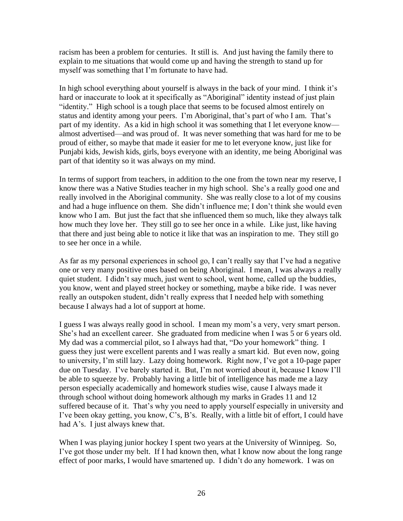racism has been a problem for centuries. It still is. And just having the family there to explain to me situations that would come up and having the strength to stand up for myself was something that I'm fortunate to have had.

In high school everything about yourself is always in the back of your mind. I think it's hard or inaccurate to look at it specifically as "Aboriginal" identity instead of just plain "identity." High school is a tough place that seems to be focused almost entirely on status and identity among your peers. I'm Aboriginal, that's part of who I am. That's part of my identity. As a kid in high school it was something that I let everyone know almost advertised—and was proud of. It was never something that was hard for me to be proud of either, so maybe that made it easier for me to let everyone know, just like for Punjabi kids, Jewish kids, girls, boys everyone with an identity, me being Aboriginal was part of that identity so it was always on my mind.

In terms of support from teachers, in addition to the one from the town near my reserve, I know there was a Native Studies teacher in my high school. She's a really good one and really involved in the Aboriginal community. She was really close to a lot of my cousins and had a huge influence on them. She didn't influence me; I don't think she would even know who I am. But just the fact that she influenced them so much, like they always talk how much they love her. They still go to see her once in a while. Like just, like having that there and just being able to notice it like that was an inspiration to me. They still go to see her once in a while.

As far as my personal experiences in school go, I can't really say that I've had a negative one or very many positive ones based on being Aboriginal. I mean, I was always a really quiet student. I didn't say much, just went to school, went home, called up the buddies, you know, went and played street hockey or something, maybe a bike ride. I was never really an outspoken student, didn't really express that I needed help with something because I always had a lot of support at home.

I guess I was always really good in school. I mean my mom's a very, very smart person. She's had an excellent career. She graduated from medicine when I was 5 or 6 years old. My dad was a commercial pilot, so I always had that, "Do your homework" thing. I guess they just were excellent parents and I was really a smart kid. But even now, going to university, I'm still lazy. Lazy doing homework. Right now, I've got a 10-page paper due on Tuesday. I've barely started it. But, I'm not worried about it, because I know I'll be able to squeeze by. Probably having a little bit of intelligence has made me a lazy person especially academically and homework studies wise, cause I always made it through school without doing homework although my marks in Grades 11 and 12 suffered because of it. That's why you need to apply yourself especially in university and I've been okay getting, you know, C's, B's. Really, with a little bit of effort, I could have had A's. I just always knew that.

When I was playing junior hockey I spent two years at the University of Winnipeg. So, I've got those under my belt. If I had known then, what I know now about the long range effect of poor marks, I would have smartened up. I didn't do any homework. I was on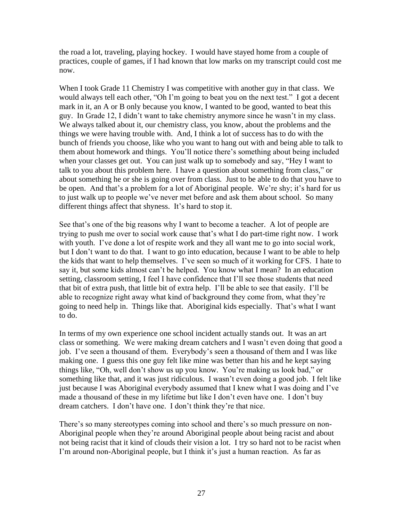the road a lot, traveling, playing hockey. I would have stayed home from a couple of practices, couple of games, if I had known that low marks on my transcript could cost me now.

When I took Grade 11 Chemistry I was competitive with another guy in that class. We would always tell each other, "Oh I'm going to beat you on the next test." I got a decent mark in it, an A or B only because you know, I wanted to be good, wanted to beat this guy. In Grade 12, I didn't want to take chemistry anymore since he wasn't in my class. We always talked about it, our chemistry class, you know, about the problems and the things we were having trouble with. And, I think a lot of success has to do with the bunch of friends you choose, like who you want to hang out with and being able to talk to them about homework and things. You'll notice there's something about being included when your classes get out. You can just walk up to somebody and say, "Hey I want to talk to you about this problem here. I have a question about something from class," or about something he or she is going over from class*.* Just to be able to do that you have to be open. And that's a problem for a lot of Aboriginal people. We're shy; it's hard for us to just walk up to people we've never met before and ask them about school. So many different things affect that shyness. It's hard to stop it.

See that's one of the big reasons why I want to become a teacher. A lot of people are trying to push me over to social work cause that's what I do part-time right now. I work with youth. I've done a lot of respite work and they all want me to go into social work, but I don't want to do that. I want to go into education, because I want to be able to help the kids that want to help themselves. I've seen so much of it working for CFS. I hate to say it, but some kids almost can't be helped. You know what I mean? In an education setting, classroom setting, I feel I have confidence that I'll see those students that need that bit of extra push, that little bit of extra help. I'll be able to see that easily. I'll be able to recognize right away what kind of background they come from, what they're going to need help in. Things like that. Aboriginal kids especially. That's what I want to do.

In terms of my own experience one school incident actually stands out. It was an art class or something. We were making dream catchers and I wasn't even doing that good a job. I've seen a thousand of them. Everybody's seen a thousand of them and I was like making one. I guess this one guy felt like mine was better than his and he kept saying things like, "Oh, well don't show us up you know. You're making us look bad," or something like that, and it was just ridiculous. I wasn't even doing a good job. I felt like just because I was Aboriginal everybody assumed that I knew what I was doing and I've made a thousand of these in my lifetime but like I don't even have one. I don't buy dream catchers. I don't have one. I don't think they're that nice.

There's so many stereotypes coming into school and there's so much pressure on non-Aboriginal people when they're around Aboriginal people about being racist and about not being racist that it kind of clouds their vision a lot. I try so hard not to be racist when I'm around non-Aboriginal people, but I think it's just a human reaction. As far as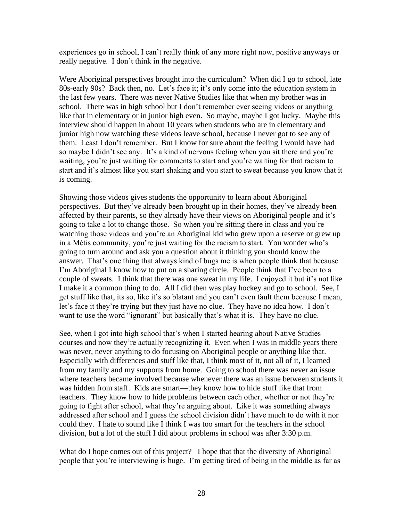experiences go in school, I can't really think of any more right now, positive anyways or really negative. I don't think in the negative.

Were Aboriginal perspectives brought into the curriculum? When did I go to school, late 80s-early 90s? Back then, no. Let's face it; it's only come into the education system in the last few years. There was never Native Studies like that when my brother was in school. There was in high school but I don't remember ever seeing videos or anything like that in elementary or in junior high even. So maybe, maybe I got lucky. Maybe this interview should happen in about 10 years when students who are in elementary and junior high now watching these videos leave school, because I never got to see any of them. Least I don't remember. But I know for sure about the feeling I would have had so maybe I didn't see any. It's a kind of nervous feeling when you sit there and you're waiting, you're just waiting for comments to start and you're waiting for that racism to start and it's almost like you start shaking and you start to sweat because you know that it is coming.

Showing those videos gives students the opportunity to learn about Aboriginal perspectives. But they've already been brought up in their homes, they've already been affected by their parents, so they already have their views on Aboriginal people and it's going to take a lot to change those. So when you're sitting there in class and you're watching those videos and you're an Aboriginal kid who grew upon a reserve or grew up in a Métis community, you're just waiting for the racism to start. You wonder who's going to turn around and ask you a question about it thinking you should know the answer. That's one thing that always kind of bugs me is when people think that because I'm Aboriginal I know how to put on a sharing circle. People think that I've been to a couple of sweats. I think that there was one sweat in my life. I enjoyed it but it's not like I make it a common thing to do. All I did then was play hockey and go to school. See, I get stuff like that, its so, like it's so blatant and you can't even fault them because I mean, let's face it they're trying but they just have no clue. They have no idea how. I don't want to use the word "ignorant" but basically that's what it is. They have no clue.

See, when I got into high school that's when I started hearing about Native Studies courses and now they're actually recognizing it. Even when I was in middle years there was never, never anything to do focusing on Aboriginal people or anything like that. Especially with differences and stuff like that, I think most of it, not all of it, I learned from my family and my supports from home. Going to school there was never an issue where teachers became involved because whenever there was an issue between students it was hidden from staff. Kids are smart—they know how to hide stuff like that from teachers. They know how to hide problems between each other, whether or not they're going to fight after school, what they're arguing about. Like it was something always addressed after school and I guess the school division didn't have much to do with it nor could they. I hate to sound like I think I was too smart for the teachers in the school division, but a lot of the stuff I did about problems in school was after 3:30 p.m.

What do I hope comes out of this project? I hope that that the diversity of Aboriginal people that you're interviewing is huge. I'm getting tired of being in the middle as far as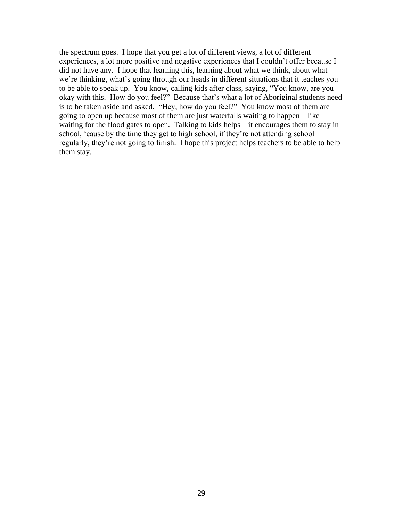the spectrum goes. I hope that you get a lot of different views, a lot of different experiences, a lot more positive and negative experiences that I couldn't offer because I did not have any. I hope that learning this, learning about what we think, about what we're thinking, what's going through our heads in different situations that it teaches you to be able to speak up. You know, calling kids after class, saying, "You know, are you okay with this. How do you feel?" Because that's what a lot of Aboriginal students need is to be taken aside and asked. "Hey, how do you feel?" You know most of them are going to open up because most of them are just waterfalls waiting to happen—like waiting for the flood gates to open. Talking to kids helps—it encourages them to stay in school, 'cause by the time they get to high school, if they're not attending school regularly, they're not going to finish. I hope this project helps teachers to be able to help them stay.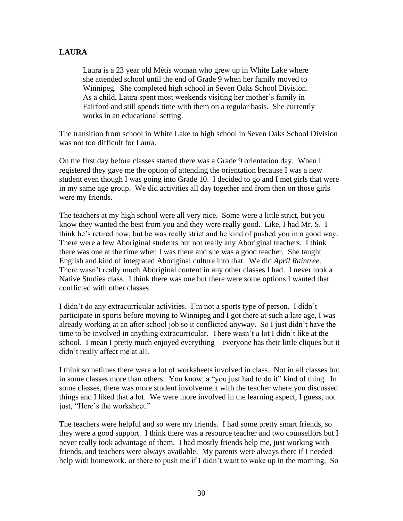#### **LAURA**

Laura is a 23 year old Métis woman who grew up in White Lake where she attended school until the end of Grade 9 when her family moved to Winnipeg. She completed high school in Seven Oaks School Division. As a child, Laura spent most weekends visiting her mother's family in Fairford and still spends time with them on a regular basis. She currently works in an educational setting.

The transition from school in White Lake to high school in Seven Oaks School Division was not too difficult for Laura.

On the first day before classes started there was a Grade 9 orientation day. When I registered they gave me the option of attending the orientation because I was a new student even though I was going into Grade 10. I decided to go and I met girls that were in my same age group. We did activities all day together and from then on those girls were my friends.

The teachers at my high school were all very nice. Some were a little strict, but you know they wanted the best from you and they were really good. Like, I had Mr. S. I think he's retired now, but he was really strict and he kind of pushed you in a good way. There were a few Aboriginal students but not really any Aboriginal teachers. I think there was one at the time when I was there and she was a good teacher. She taught English and kind of integrated Aboriginal culture into that. We did *April Raintree*. There wasn't really much Aboriginal content in any other classes I had. I never took a Native Studies class. I think there was one but there were some options I wanted that conflicted with other classes.

I didn't do any extracurricular activities. I'm not a sports type of person. I didn't participate in sports before moving to Winnipeg and I got there at such a late age, I was already working at an after school job so it conflicted anyway. So I just didn't have the time to be involved in anything extracurricular. There wasn't a lot I didn't like at the school. I mean I pretty much enjoyed everything—everyone has their little cliques but it didn't really affect me at all.

I think sometimes there were a lot of worksheets involved in class. Not in all classes but in some classes more than others. You know, a "you just had to do it" kind of thing. In some classes, there was more student involvement with the teacher where you discussed things and I liked that a lot. We were more involved in the learning aspect, I guess, not just, "Here's the worksheet."

The teachers were helpful and so were my friends. I had some pretty smart friends, so they were a good support. I think there was a resource teacher and two counsellors but I never really took advantage of them. I had mostly friends help me, just working with friends, and teachers were always available. My parents were always there if I needed help with homework, or there to push me if I didn't want to wake up in the morning. So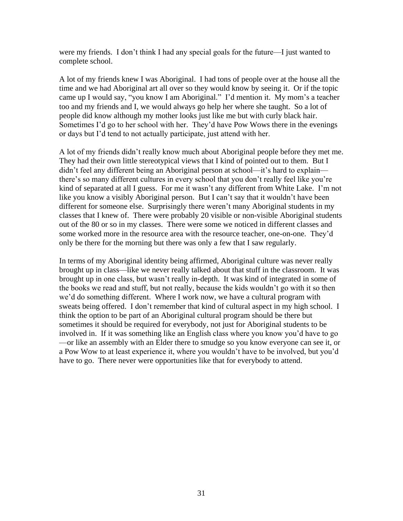were my friends. I don't think I had any special goals for the future—I just wanted to complete school.

A lot of my friends knew I was Aboriginal. I had tons of people over at the house all the time and we had Aboriginal art all over so they would know by seeing it. Or if the topic came up I would say, "you know I am Aboriginal." I'd mention it. My mom's a teacher too and my friends and I, we would always go help her where she taught. So a lot of people did know although my mother looks just like me but with curly black hair. Sometimes I'd go to her school with her. They'd have Pow Wows there in the evenings or days but I'd tend to not actually participate, just attend with her.

A lot of my friends didn't really know much about Aboriginal people before they met me. They had their own little stereotypical views that I kind of pointed out to them. But I didn't feel any different being an Aboriginal person at school—it's hard to explain there's so many different cultures in every school that you don't really feel like you're kind of separated at all I guess. For me it wasn't any different from White Lake. I'm not like you know a visibly Aboriginal person. But I can't say that it wouldn't have been different for someone else. Surprisingly there weren't many Aboriginal students in my classes that I knew of. There were probably 20 visible or non-visible Aboriginal students out of the 80 or so in my classes. There were some we noticed in different classes and some worked more in the resource area with the resource teacher, one-on-one. They'd only be there for the morning but there was only a few that I saw regularly.

In terms of my Aboriginal identity being affirmed, Aboriginal culture was never really brought up in class—like we never really talked about that stuff in the classroom. It was brought up in one class, but wasn't really in-depth. It was kind of integrated in some of the books we read and stuff, but not really, because the kids wouldn't go with it so then we'd do something different. Where I work now, we have a cultural program with sweats being offered. I don't remember that kind of cultural aspect in my high school. I think the option to be part of an Aboriginal cultural program should be there but sometimes it should be required for everybody, not just for Aboriginal students to be involved in. If it was something like an English class where you know you'd have to go —or like an assembly with an Elder there to smudge so you know everyone can see it, or a Pow Wow to at least experience it, where you wouldn't have to be involved, but you'd have to go. There never were opportunities like that for everybody to attend.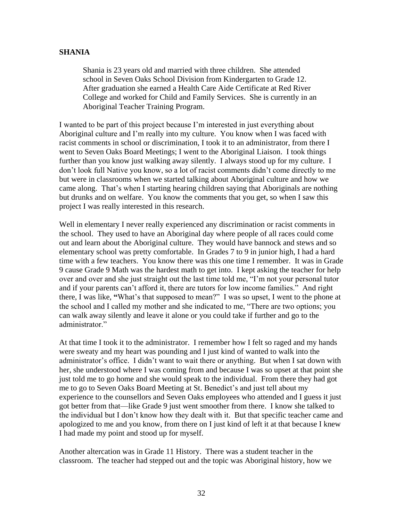#### **SHANIA**

Shania is 23 years old and married with three children. She attended school in Seven Oaks School Division from Kindergarten to Grade 12. After graduation she earned a Health Care Aide Certificate at Red River College and worked for Child and Family Services. She is currently in an Aboriginal Teacher Training Program.

I wanted to be part of this project because I'm interested in just everything about Aboriginal culture and I'm really into my culture. You know when I was faced with racist comments in school or discrimination, I took it to an administrator, from there I went to Seven Oaks Board Meetings; I went to the Aboriginal Liaison. I took things further than you know just walking away silently. I always stood up for my culture. I don't look full Native you know, so a lot of racist comments didn't come directly to me but were in classrooms when we started talking about Aboriginal culture and how we came along. That's when I starting hearing children saying that Aboriginals are nothing but drunks and on welfare. You know the comments that you get, so when I saw this project I was really interested in this research.

Well in elementary I never really experienced any discrimination or racist comments in the school. They used to have an Aboriginal day where people of all races could come out and learn about the Aboriginal culture. They would have bannock and stews and so elementary school was pretty comfortable. In Grades 7 to 9 in junior high, I had a hard time with a few teachers. You know there was this one time I remember. It was in Grade 9 cause Grade 9 Math was the hardest math to get into. I kept asking the teacher for help over and over and she just straight out the last time told me, "I'm not your personal tutor and if your parents can't afford it, there are tutors for low income families." And right there, I was like, "What's that supposed to mean?" I was so upset, I went to the phone at the school and I called my mother and she indicated to me, "There are two options; you can walk away silently and leave it alone or you could take if further and go to the administrator."

At that time I took it to the administrator. I remember how I felt so raged and my hands were sweaty and my heart was pounding and I just kind of wanted to walk into the administrator's office. I didn't want to wait there or anything. But when I sat down with her, she understood where I was coming from and because I was so upset at that point she just told me to go home and she would speak to the individual. From there they had got me to go to Seven Oaks Board Meeting at St. Benedict's and just tell about my experience to the counsellors and Seven Oaks employees who attended and I guess it just got better from that—like Grade 9 just went smoother from there. I know she talked to the individual but I don't know how they dealt with it. But that specific teacher came and apologized to me and you know, from there on I just kind of left it at that because I knew I had made my point and stood up for myself.

Another altercation was in Grade 11 History. There was a student teacher in the classroom. The teacher had stepped out and the topic was Aboriginal history, how we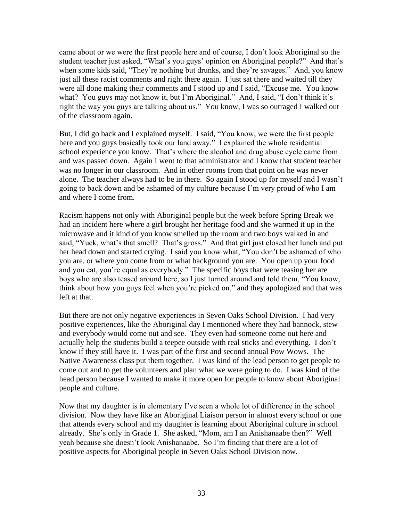came about or we were the first people here and of course, I don't look Aboriginal so the student teacher just asked, "What's you guys' opinion on Aboriginal people?" And that's when some kids said, "They're nothing but drunks, and they're savages." And, you know just all these racist comments and right there again. I just sat there and waited till they were all done making their comments and I stood up and I said, "Excuse me. You know what? You guys may not know it, but I'm Aboriginal." And, I said, "I don't think it's right the way you guys are talking about us." You know, I was so outraged I walked out of the classroom again.

But, I did go back and I explained myself. I said, "You know, we were the first people here and you guys basically took our land away." I explained the whole residential school experience you know. That's where the alcohol and drug abuse cycle came from and was passed down. Again I went to that administrator and I know that student teacher was no longer in our classroom. And in other rooms from that point on he was never alone. The teacher always had to be in there. So again I stood up for myself and I wasn't going to back down and be ashamed of my culture because I'm very proud of who I am and where I come from.

Racism happens not only with Aboriginal people but the week before Spring Break we had an incident here where a girl brought her heritage food and she warmed it up in the microwave and it kind of you know smelled up the room and two boys walked in and said, "Yuck, what's that smell? That's gross." And that girl just closed her lunch and put her head down and started crying. I said you know what, "You don't be ashamed of who you are, or where you come from or what background you are. You open up your food and you eat, you're equal as everybody." The specific boys that were teasing her are boys who are also teased around here, so I just turned around and told them, "You know, think about how you guys feel when you're picked on," and they apologized and that was left at that.

But there are not only negative experiences in Seven Oaks School Division. I had very positive experiences, like the Aboriginal day I mentioned where they had bannock, stew and everybody would come out and see. They even had someone come out here and actually help the students build a teepee outside with real sticks and everything. I don't know if they still have it. I was part of the first and second annual Pow Wows. The Native Awareness class put them together. I was kind of the lead person to get people to come out and to get the volunteers and plan what we were going to do. I was kind of the head person because I wanted to make it more open for people to know about Aboriginal people and culture.

Now that my daughter is in elementary I've seen a whole lot of difference in the school division. Now they have like an Aboriginal Liaison person in almost every school or one that attends every school and my daughter is learning about Aboriginal culture in school already. She's only in Grade 1. She asked, "Mom, am I an Anishanaabe then?" Well yeah because she doesn't look Anishanaabe. So I'm finding that there are a lot of positive aspects for Aboriginal people in Seven Oaks School Division now.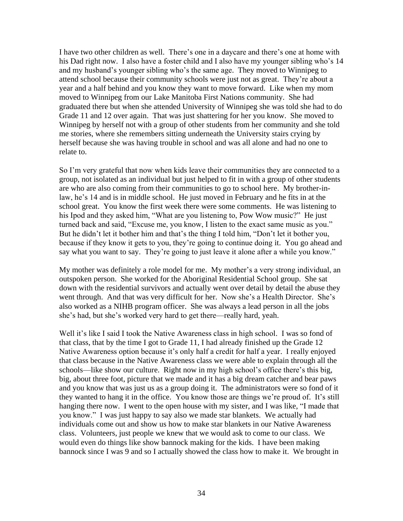I have two other children as well. There's one in a daycare and there's one at home with his Dad right now. I also have a foster child and I also have my younger sibling who's 14 and my husband's younger sibling who's the same age. They moved to Winnipeg to attend school because their community schools were just not as great. They're about a year and a half behind and you know they want to move forward. Like when my mom moved to Winnipeg from our Lake Manitoba First Nations community. She had graduated there but when she attended University of Winnipeg she was told she had to do Grade 11 and 12 over again. That was just shattering for her you know. She moved to Winnipeg by herself not with a group of other students from her community and she told me stories, where she remembers sitting underneath the University stairs crying by herself because she was having trouble in school and was all alone and had no one to relate to.

So I'm very grateful that now when kids leave their communities they are connected to a group, not isolated as an individual but just helped to fit in with a group of other students are who are also coming from their communities to go to school here. My brother-inlaw, he's 14 and is in middle school. He just moved in February and he fits in at the school great. You know the first week there were some comments. He was listening to his Ipod and they asked him, "What are you listening to, Pow Wow music?" He just turned back and said, "Excuse me, you know, I listen to the exact same music as you." But he didn't let it bother him and that's the thing I told him, "Don't let it bother you, because if they know it gets to you, they're going to continue doing it. You go ahead and say what you want to say. They're going to just leave it alone after a while you know."

My mother was definitely a role model for me. My mother's a very strong individual, an outspoken person. She worked for the Aboriginal Residential School group. She sat down with the residential survivors and actually went over detail by detail the abuse they went through. And that was very difficult for her. Now she's a Health Director. She's also worked as a NIHB program officer. She was always a lead person in all the jobs she's had, but she's worked very hard to get there—really hard, yeah.

Well it's like I said I took the Native Awareness class in high school. I was so fond of that class, that by the time I got to Grade 11, I had already finished up the Grade 12 Native Awareness option because it's only half a credit for half a year. I really enjoyed that class because in the Native Awareness class we were able to explain through all the schools—like show our culture. Right now in my high school's office there's this big, big, about three foot, picture that we made and it has a big dream catcher and bear paws and you know that was just us as a group doing it. The administrators were so fond of it they wanted to hang it in the office. You know those are things we're proud of. It's still hanging there now. I went to the open house with my sister, and I was like, "I made that you know.‖ I was just happy to say also we made star blankets. We actually had individuals come out and show us how to make star blankets in our Native Awareness class. Volunteers, just people we knew that we would ask to come to our class. We would even do things like show bannock making for the kids. I have been making bannock since I was 9 and so I actually showed the class how to make it. We brought in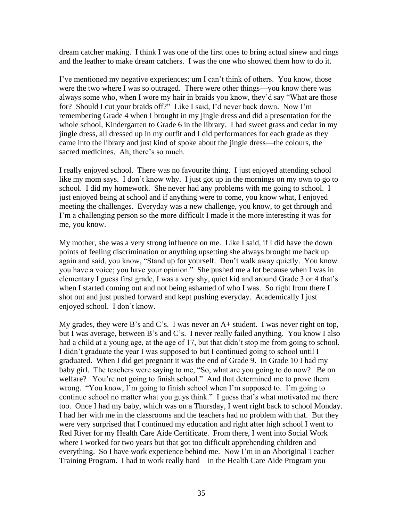dream catcher making. I think I was one of the first ones to bring actual sinew and rings and the leather to make dream catchers. I was the one who showed them how to do it.

I've mentioned my negative experiences; um I can't think of others. You know, those were the two where I was so outraged. There were other things—you know there was always some who, when I wore my hair in braids you know, they'd say "What are those for? Should I cut your braids off?" Like I said, I'd never back down. Now I'm remembering Grade 4 when I brought in my jingle dress and did a presentation for the whole school, Kindergarten to Grade 6 in the library. I had sweet grass and cedar in my jingle dress, all dressed up in my outfit and I did performances for each grade as they came into the library and just kind of spoke about the jingle dress—the colours, the sacred medicines. Ah, there's so much.

I really enjoyed school. There was no favourite thing. I just enjoyed attending school like my mom says. I don't know why. I just got up in the mornings on my own to go to school. I did my homework. She never had any problems with me going to school. I just enjoyed being at school and if anything were to come, you know what, I enjoyed meeting the challenges. Everyday was a new challenge, you know, to get through and I'm a challenging person so the more difficult I made it the more interesting it was for me, you know.

My mother, she was a very strong influence on me. Like I said, if I did have the down points of feeling discrimination or anything upsetting she always brought me back up again and said, you know, "Stand up for yourself. Don't walk away quietly. You know you have a voice; you have your opinion." She pushed me a lot because when I was in elementary I guess first grade, I was a very shy, quiet kid and around Grade 3 or 4 that's when I started coming out and not being ashamed of who I was. So right from there I shot out and just pushed forward and kept pushing everyday. Academically I just enjoyed school. I don't know.

My grades, they were B's and C's. I was never an  $A+$  student. I was never right on top, but I was average, between B's and C's. I never really failed anything. You know I also had a child at a young age, at the age of 17, but that didn't stop me from going to school. I didn't graduate the year I was supposed to but I continued going to school until I graduated. When I did get pregnant it was the end of Grade 9. In Grade 10 I had my baby girl. The teachers were saying to me, "So, what are you going to do now? Be on welfare? You're not going to finish school." And that determined me to prove them wrong. "You know, I'm going to finish school when I'm supposed to. I'm going to continue school no matter what you guys think." I guess that's what motivated me there too. Once I had my baby, which was on a Thursday, I went right back to school Monday. I had her with me in the classrooms and the teachers had no problem with that. But they were very surprised that I continued my education and right after high school I went to Red River for my Health Care Aide Certificate. From there, I went into Social Work where I worked for two years but that got too difficult apprehending children and everything. So I have work experience behind me. Now I'm in an Aboriginal Teacher Training Program. I had to work really hard—in the Health Care Aide Program you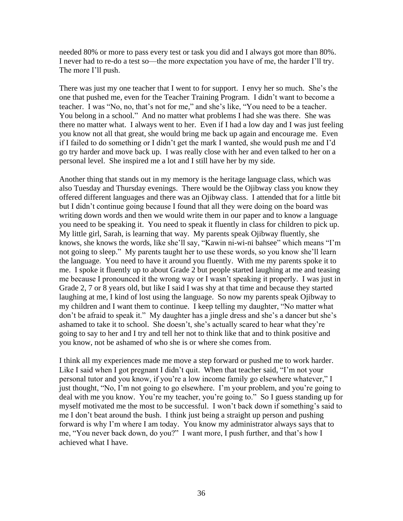needed 80% or more to pass every test or task you did and I always got more than 80%. I never had to re-do a test so—the more expectation you have of me, the harder I'll try. The more I'll push.

There was just my one teacher that I went to for support. I envy her so much. She's the one that pushed me, even for the Teacher Training Program. I didn't want to become a teacher. I was "No, no, that's not for me," and she's like, "You need to be a teacher. You belong in a school." And no matter what problems I had she was there. She was there no matter what. I always went to her. Even if I had a low day and I was just feeling you know not all that great, she would bring me back up again and encourage me. Even if I failed to do something or I didn't get the mark I wanted, she would push me and I'd go try harder and move back up. I was really close with her and even talked to her on a personal level. She inspired me a lot and I still have her by my side.

Another thing that stands out in my memory is the heritage language class, which was also Tuesday and Thursday evenings. There would be the Ojibway class you know they offered different languages and there was an Ojibway class. I attended that for a little bit but I didn't continue going because I found that all they were doing on the board was writing down words and then we would write them in our paper and to know a language you need to be speaking it. You need to speak it fluently in class for children to pick up. My little girl, Sarah, is learning that way. My parents speak Ojibway fluently, she knows, she knows the words, like she'll say, "Kawin ni-wi-ni bahsee" which means "I'm not going to sleep." My parents taught her to use these words, so you know she'll learn the language. You need to have it around you fluently. With me my parents spoke it to me. I spoke it fluently up to about Grade 2 but people started laughing at me and teasing me because I pronounced it the wrong way or I wasn't speaking it properly. I was just in Grade 2, 7 or 8 years old, but like I said I was shy at that time and because they started laughing at me, I kind of lost using the language. So now my parents speak Ojibway to my children and I want them to continue. I keep telling my daughter, "No matter what don't be afraid to speak it." My daughter has a jingle dress and she's a dancer but she's ashamed to take it to school. She doesn't, she's actually scared to hear what they're going to say to her and I try and tell her not to think like that and to think positive and you know, not be ashamed of who she is or where she comes from.

I think all my experiences made me move a step forward or pushed me to work harder. Like I said when I got pregnant I didn't quit. When that teacher said, "I'm not your personal tutor and you know, if you're a low income family go elsewhere whatever," I just thought, "No, I'm not going to go elsewhere. I'm your problem, and you're going to deal with me you know. You're my teacher, you're going to." So I guess standing up for myself motivated me the most to be successful. I won't back down if something's said to me I don't beat around the bush. I think just being a straight up person and pushing forward is why I'm where I am today. You know my administrator always says that to me, "You never back down, do you?" I want more, I push further, and that's how I achieved what I have.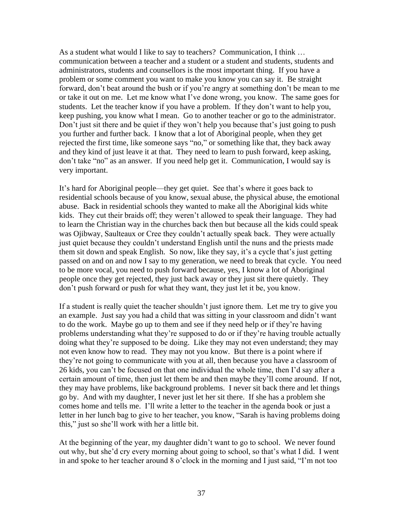As a student what would I like to say to teachers? Communication, I think … communication between a teacher and a student or a student and students, students and administrators, students and counsellors is the most important thing. If you have a problem or some comment you want to make you know you can say it. Be straight forward, don't beat around the bush or if you're angry at something don't be mean to me or take it out on me. Let me know what I've done wrong, you know. The same goes for students. Let the teacher know if you have a problem. If they don't want to help you, keep pushing, you know what I mean. Go to another teacher or go to the administrator. Don't just sit there and be quiet if they won't help you because that's just going to push you further and further back. I know that a lot of Aboriginal people, when they get rejected the first time, like someone says "no," or something like that, they back away and they kind of just leave it at that. They need to learn to push forward, keep asking, don't take "no" as an answer. If you need help get it. Communication, I would say is very important.

It's hard for Aboriginal people—they get quiet. See that's where it goes back to residential schools because of you know, sexual abuse, the physical abuse, the emotional abuse. Back in residential schools they wanted to make all the Aboriginal kids white kids. They cut their braids off; they weren't allowed to speak their language. They had to learn the Christian way in the churches back then but because all the kids could speak was Ojibway, Saulteaux or Cree they couldn't actually speak back. They were actually just quiet because they couldn't understand English until the nuns and the priests made them sit down and speak English. So now, like they say, it's a cycle that's just getting passed on and on and now I say to my generation, we need to break that cycle. You need to be more vocal, you need to push forward because, yes, I know a lot of Aboriginal people once they get rejected, they just back away or they just sit there quietly. They don't push forward or push for what they want, they just let it be, you know.

If a student is really quiet the teacher shouldn't just ignore them. Let me try to give you an example. Just say you had a child that was sitting in your classroom and didn't want to do the work. Maybe go up to them and see if they need help or if they're having problems understanding what they're supposed to do or if they're having trouble actually doing what they're supposed to be doing. Like they may not even understand; they may not even know how to read. They may not you know. But there is a point where if they're not going to communicate with you at all, then because you have a classroom of 26 kids, you can't be focused on that one individual the whole time, then I'd say after a certain amount of time, then just let them be and then maybe they'll come around. If not, they may have problems, like background problems. I never sit back there and let things go by. And with my daughter, I never just let her sit there. If she has a problem she comes home and tells me. I'll write a letter to the teacher in the agenda book or just a letter in her lunch bag to give to her teacher, you know, "Sarah is having problems doing this," just so she'll work with her a little bit.

At the beginning of the year, my daughter didn't want to go to school. We never found out why, but she'd cry every morning about going to school, so that's what I did. I went in and spoke to her teacher around  $8$  o'clock in the morning and I just said, "I'm not too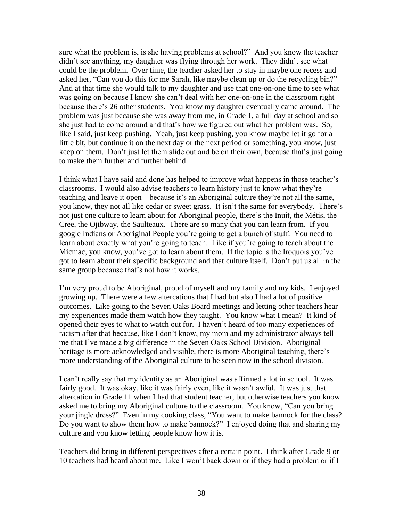sure what the problem is, is she having problems at school?" And you know the teacher didn't see anything, my daughter was flying through her work. They didn't see what could be the problem. Over time, the teacher asked her to stay in maybe one recess and asked her, "Can you do this for me Sarah, like maybe clean up or do the recycling bin?" And at that time she would talk to my daughter and use that one-on-one time to see what was going on because I know she can't deal with her one-on-one in the classroom right because there's 26 other students. You know my daughter eventually came around. The problem was just because she was away from me, in Grade 1, a full day at school and so she just had to come around and that's how we figured out what her problem was. So, like I said, just keep pushing. Yeah, just keep pushing, you know maybe let it go for a little bit, but continue it on the next day or the next period or something, you know, just keep on them. Don't just let them slide out and be on their own, because that's just going to make them further and further behind.

I think what I have said and done has helped to improve what happens in those teacher's classrooms. I would also advise teachers to learn history just to know what they're teaching and leave it open—because it's an Aboriginal culture they're not all the same, you know, they not all like cedar or sweet grass. It isn't the same for everybody. There's not just one culture to learn about for Aboriginal people, there's the Inuit, the Métis, the Cree, the Ojibway, the Saulteaux. There are so many that you can learn from. If you google Indians or Aboriginal People you're going to get a bunch of stuff. You need to learn about exactly what you're going to teach. Like if you're going to teach about the Micmac, you know, you've got to learn about them. If the topic is the Iroquois you've got to learn about their specific background and that culture itself. Don't put us all in the same group because that's not how it works.

I'm very proud to be Aboriginal, proud of myself and my family and my kids. I enjoyed growing up. There were a few altercations that I had but also I had a lot of positive outcomes. Like going to the Seven Oaks Board meetings and letting other teachers hear my experiences made them watch how they taught. You know what I mean? It kind of opened their eyes to what to watch out for. I haven't heard of too many experiences of racism after that because, like I don't know, my mom and my administrator always tell me that I've made a big difference in the Seven Oaks School Division. Aboriginal heritage is more acknowledged and visible, there is more Aboriginal teaching, there's more understanding of the Aboriginal culture to be seen now in the school division.

I can't really say that my identity as an Aboriginal was affirmed a lot in school. It was fairly good. It was okay, like it was fairly even, like it wasn't awful. It was just that altercation in Grade 11 when I had that student teacher, but otherwise teachers you know asked me to bring my Aboriginal culture to the classroom. You know, "Can you bring your jingle dress?" Even in my cooking class, "You want to make bannock for the class? Do you want to show them how to make bannock?" I enjoyed doing that and sharing my culture and you know letting people know how it is.

Teachers did bring in different perspectives after a certain point. I think after Grade 9 or 10 teachers had heard about me. Like I won't back down or if they had a problem or if I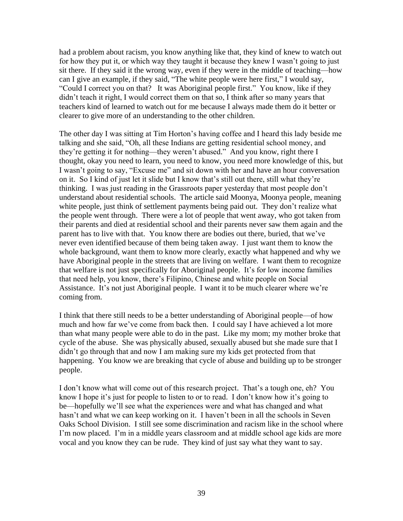had a problem about racism, you know anything like that, they kind of knew to watch out for how they put it, or which way they taught it because they knew I wasn't going to just sit there. If they said it the wrong way, even if they were in the middle of teaching—how can I give an example, if they said, "The white people were here first," I would say, "Could I correct you on that? It was Aboriginal people first." You know, like if they didn't teach it right, I would correct them on that so, I think after so many years that teachers kind of learned to watch out for me because I always made them do it better or clearer to give more of an understanding to the other children.

The other day I was sitting at Tim Horton's having coffee and I heard this lady beside me talking and she said, "Oh, all these Indians are getting residential school money, and they're getting it for nothing—they weren't abused." And you know, right there I thought, okay you need to learn, you need to know, you need more knowledge of this, but I wasn't going to say, "Excuse me" and sit down with her and have an hour conversation on it. So I kind of just let it slide but I know that's still out there, still what they're thinking. I was just reading in the Grassroots paper yesterday that most people don't understand about residential schools. The article said Moonya, Moonya people, meaning white people, just think of settlement payments being paid out. They don't realize what the people went through. There were a lot of people that went away, who got taken from their parents and died at residential school and their parents never saw them again and the parent has to live with that. You know there are bodies out there, buried, that we've never even identified because of them being taken away. I just want them to know the whole background, want them to know more clearly, exactly what happened and why we have Aboriginal people in the streets that are living on welfare. I want them to recognize that welfare is not just specifically for Aboriginal people. It's for low income families that need help, you know, there's Filipino, Chinese and white people on Social Assistance. It's not just Aboriginal people. I want it to be much clearer where we're coming from.

I think that there still needs to be a better understanding of Aboriginal people—of how much and how far we've come from back then. I could say I have achieved a lot more than what many people were able to do in the past. Like my mom; my mother broke that cycle of the abuse. She was physically abused, sexually abused but she made sure that I didn't go through that and now I am making sure my kids get protected from that happening. You know we are breaking that cycle of abuse and building up to be stronger people.

I don't know what will come out of this research project. That's a tough one, eh? You know I hope it's just for people to listen to or to read. I don't know how it's going to be—hopefully we'll see what the experiences were and what has changed and what hasn't and what we can keep working on it. I haven't been in all the schools in Seven Oaks School Division. I still see some discrimination and racism like in the school where I'm now placed. I'm in a middle years classroom and at middle school age kids are more vocal and you know they can be rude. They kind of just say what they want to say.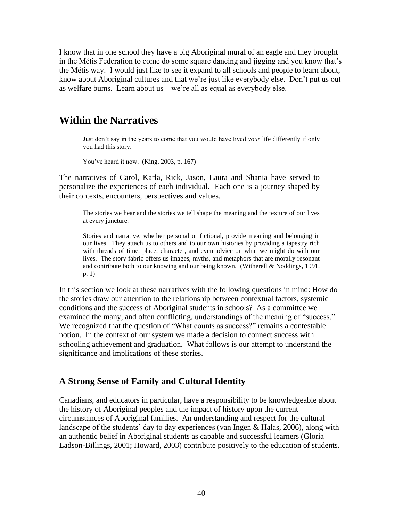I know that in one school they have a big Aboriginal mural of an eagle and they brought in the Métis Federation to come do some square dancing and jigging and you know that's the Métis way. I would just like to see it expand to all schools and people to learn about, know about Aboriginal cultures and that we're just like everybody else. Don't put us out as welfare bums. Learn about us—we're all as equal as everybody else.

### **Within the Narratives**

Just don't say in the years to come that you would have lived *your* life differently if only you had this story.

You've heard it now. (King, 2003, p. 167)

The narratives of Carol, Karla, Rick, Jason, Laura and Shania have served to personalize the experiences of each individual. Each one is a journey shaped by their contexts, encounters, perspectives and values.

The stories we hear and the stories we tell shape the meaning and the texture of our lives at every juncture.

Stories and narrative, whether personal or fictional, provide meaning and belonging in our lives. They attach us to others and to our own histories by providing a tapestry rich with threads of time, place, character, and even advice on what we might do with our lives. The story fabric offers us images, myths, and metaphors that are morally resonant and contribute both to our knowing and our being known. (Witherell & Noddings, 1991, p. 1)

In this section we look at these narratives with the following questions in mind: How do the stories draw our attention to the relationship between contextual factors, systemic conditions and the success of Aboriginal students in schools? As a committee we examined the many, and often conflicting, understandings of the meaning of "success." We recognized that the question of "What counts as success?" remains a contestable notion. In the context of our system we made a decision to connect success with schooling achievement and graduation. What follows is our attempt to understand the significance and implications of these stories.

### **A Strong Sense of Family and Cultural Identity**

Canadians, and educators in particular, have a responsibility to be knowledgeable about the history of Aboriginal peoples and the impact of history upon the current circumstances of Aboriginal families. An understanding and respect for the cultural landscape of the students' day to day experiences (van Ingen & Halas, 2006), along with an authentic belief in Aboriginal students as capable and successful learners (Gloria Ladson-Billings, 2001; Howard, 2003) contribute positively to the education of students.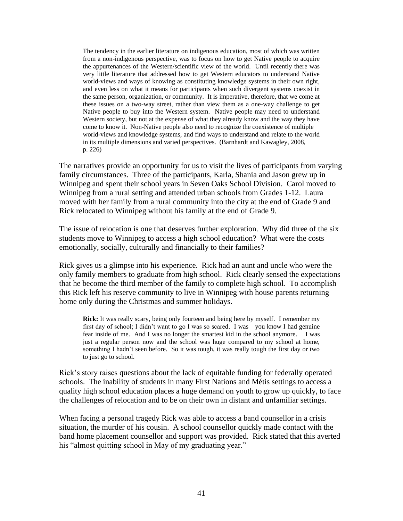The tendency in the earlier literature on indigenous education, most of which was written from a non-indigenous perspective, was to focus on how to get Native people to acquire the appurtenances of the Western/scientific view of the world. Until recently there was very little literature that addressed how to get Western educators to understand Native world-views and ways of knowing as constituting knowledge systems in their own right, and even less on what it means for participants when such divergent systems coexist in the same person, organization, or community. It is imperative, therefore, that we come at these issues on a two-way street, rather than view them as a one-way challenge to get Native people to buy into the Western system. Native people may need to understand Western society, but not at the expense of what they already know and the way they have come to know it. Non-Native people also need to recognize the coexistence of multiple world-views and knowledge systems, and find ways to understand and relate to the world in its multiple dimensions and varied perspectives. (Barnhardt and Kawagley, 2008, p. 226)

The narratives provide an opportunity for us to visit the lives of participants from varying family circumstances. Three of the participants, Karla, Shania and Jason grew up in Winnipeg and spent their school years in Seven Oaks School Division. Carol moved to Winnipeg from a rural setting and attended urban schools from Grades 1-12. Laura moved with her family from a rural community into the city at the end of Grade 9 and Rick relocated to Winnipeg without his family at the end of Grade 9.

The issue of relocation is one that deserves further exploration. Why did three of the six students move to Winnipeg to access a high school education? What were the costs emotionally, socially, culturally and financially to their families?

Rick gives us a glimpse into his experience. Rick had an aunt and uncle who were the only family members to graduate from high school. Rick clearly sensed the expectations that he become the third member of the family to complete high school. To accomplish this Rick left his reserve community to live in Winnipeg with house parents returning home only during the Christmas and summer holidays.

**Rick:** It was really scary, being only fourteen and being here by myself. I remember my first day of school; I didn't want to go I was so scared. I was—you know I had genuine fear inside of me. And I was no longer the smartest kid in the school anymore. I was just a regular person now and the school was huge compared to my school at home, something I hadn't seen before. So it was tough, it was really tough the first day or two to just go to school.

Rick's story raises questions about the lack of equitable funding for federally operated schools. The inability of students in many First Nations and Métis settings to access a quality high school education places a huge demand on youth to grow up quickly, to face the challenges of relocation and to be on their own in distant and unfamiliar settings.

When facing a personal tragedy Rick was able to access a band counsellor in a crisis situation, the murder of his cousin. A school counsellor quickly made contact with the band home placement counsellor and support was provided. Rick stated that this averted his "almost quitting school in May of my graduating year."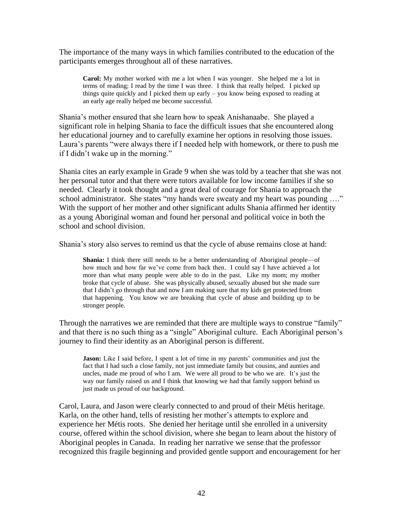The importance of the many ways in which families contributed to the education of the participants emerges throughout all of these narratives.

**Carol:** My mother worked with me a lot when I was younger. She helped me a lot in terms of reading; I read by the time I was three. I think that really helped. I picked up things quite quickly and I picked them up early – you know being exposed to reading at an early age really helped me become successful.

Shania's mother ensured that she learn how to speak Anishanaabe. She played a significant role in helping Shania to face the difficult issues that she encountered along her educational journey and to carefully examine her options in resolving those issues. Laura's parents "were always there if I needed help with homework, or there to push me if I didn't wake up in the morning."

Shania cites an early example in Grade 9 when she was told by a teacher that she was not her personal tutor and that there were tutors available for low income families if she so needed. Clearly it took thought and a great deal of courage for Shania to approach the school administrator. She states "my hands were sweaty and my heart was pounding ...." With the support of her mother and other significant adults Shania affirmed her identity as a young Aboriginal woman and found her personal and political voice in both the school and school division.

Shania's story also serves to remind us that the cycle of abuse remains close at hand:

**Shania:** I think there still needs to be a better understanding of Aboriginal people—of how much and how far we've come from back then. I could say I have achieved a lot more than what many people were able to do in the past. Like my mom; my mother broke that cycle of abuse. She was physically abused, sexually abused but she made sure that I didn't go through that and now I am making sure that my kids get protected from that happening. You know we are breaking that cycle of abuse and building up to be stronger people.

Through the narratives we are reminded that there are multiple ways to construe "family" and that there is no such thing as a "single" Aboriginal culture. Each Aboriginal person's journey to find their identity as an Aboriginal person is different.

**Jason:** Like I said before, I spent a lot of time in my parents' communities and just the fact that I had such a close family, not just immediate family but cousins, and aunties and uncles, made me proud of who I am. We were all proud to be who we are. It's just the way our family raised us and I think that knowing we had that family support behind us just made us proud of our background.

Carol, Laura, and Jason were clearly connected to and proud of their Métis heritage. Karla, on the other hand, tells of resisting her mother's attempts to explore and experience her Métis roots. She denied her heritage until she enrolled in a university course, offered within the school division, where she began to learn about the history of Aboriginal peoples in Canada. In reading her narrative we sense that the professor recognized this fragile beginning and provided gentle support and encouragement for her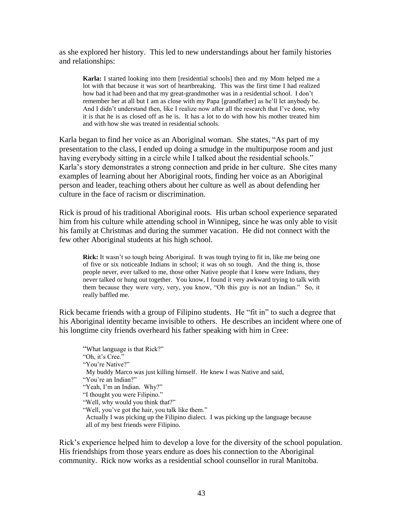as she explored her history. This led to new understandings about her family histories and relationships:

**Karla:** I started looking into them [residential schools] then and my Mom helped me a lot with that because it was sort of heartbreaking. This was the first time I had realized how bad it had been and that my great-grandmother was in a residential school. I don't remember her at all but I am as close with my Papa [grandfather] as he'll let anybody be. And I didn't understand then, like I realize now after all the research that I've done, why it is that he is as closed off as he is. It has a lot to do with how his mother treated him and with how she was treated in residential schools.

Karla began to find her voice as an Aboriginal woman. She states, "As part of my presentation to the class, I ended up doing a smudge in the multipurpose room and just having everybody sitting in a circle while I talked about the residential schools." Karla's story demonstrates a strong connection and pride in her culture. She cites many examples of learning about her Aboriginal roots, finding her voice as an Aboriginal person and leader, teaching others about her culture as well as about defending her culture in the face of racism or discrimination.

Rick is proud of his traditional Aboriginal roots. His urban school experience separated him from his culture while attending school in Winnipeg, since he was only able to visit his family at Christmas and during the summer vacation. He did not connect with the few other Aboriginal students at his high school.

**Rick:** It wasn't so tough being Aboriginal. It was tough trying to fit in, like me being one of five or six noticeable Indians in school; it was oh so tough. And the thing is, those people never, ever talked to me, those other Native people that I knew were Indians, they never talked or hung out together. You know, I found it very awkward trying to talk with them because they were very, very, you know, "Oh this guy is not an Indian." So, it really baffled me.

Rick became friends with a group of Filipino students. He "fit in" to such a degree that his Aboriginal identity became invisible to others. He describes an incident where one of his longtime city friends overheard his father speaking with him in Cree:

"What language is that Rick?" "Oh, it's Cree." "You're Native?" My buddy Marco was just killing himself. He knew I was Native and said, "You're an Indian?" "Yeah, I'm an Indian. Why?" "I thought you were Filipino." "Well, why would you think that?" "Well, you've got the hair, you talk like them." Actually I was picking up the Filipino dialect. I was picking up the language because all of my best friends were Filipino.

Rick's experience helped him to develop a love for the diversity of the school population. His friendships from those years endure as does his connection to the Aboriginal community. Rick now works as a residential school counsellor in rural Manitoba.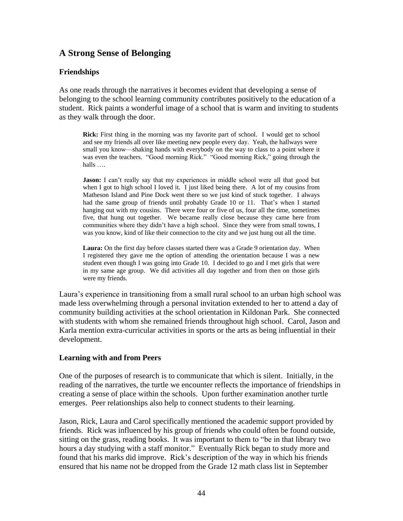### **A Strong Sense of Belonging**

#### **Friendships**

As one reads through the narratives it becomes evident that developing a sense of belonging to the school learning community contributes positively to the education of a student. Rick paints a wonderful image of a school that is warm and inviting to students as they walk through the door.

**Rick:** First thing in the morning was my favorite part of school. I would get to school and see my friends all over like meeting new people every day. Yeah, the hallways were small you know—shaking hands with everybody on the way to class to a point where it was even the teachers. "Good morning Rick." "Good morning Rick," going through the halls ….

**Jason:** I can't really say that my experiences in middle school were all that good but when I got to high school I loved it. I just liked being there. A lot of my cousins from Matheson Island and Pine Dock went there so we just kind of stuck together. I always had the same group of friends until probably Grade 10 or 11. That's when I started hanging out with my cousins. There were four or five of us, four all the time, sometimes five, that hung out together. We became really close because they came here from communities where they didn't have a high school. Since they were from small towns, I was you know, kind of like their connection to the city and we just hung out all the time.

**Laura:** On the first day before classes started there was a Grade 9 orientation day. When I registered they gave me the option of attending the orientation because I was a new student even though I was going into Grade 10. I decided to go and I met girls that were in my same age group. We did activities all day together and from then on those girls were my friends.

Laura's experience in transitioning from a small rural school to an urban high school was made less overwhelming through a personal invitation extended to her to attend a day of community building activities at the school orientation in Kildonan Park. She connected with students with whom she remained friends throughout high school. Carol, Jason and Karla mention extra-curricular activities in sports or the arts as being influential in their development.

#### **Learning with and from Peers**

One of the purposes of research is to communicate that which is silent. Initially, in the reading of the narratives, the turtle we encounter reflects the importance of friendships in creating a sense of place within the schools. Upon further examination another turtle emerges. Peer relationships also help to connect students to their learning.

Jason, Rick, Laura and Carol specifically mentioned the academic support provided by friends. Rick was influenced by his group of friends who could often be found outside, sitting on the grass, reading books. It was important to them to "be in that library two hours a day studying with a staff monitor." Eventually Rick began to study more and found that his marks did improve. Rick's description of the way in which his friends ensured that his name not be dropped from the Grade 12 math class list in September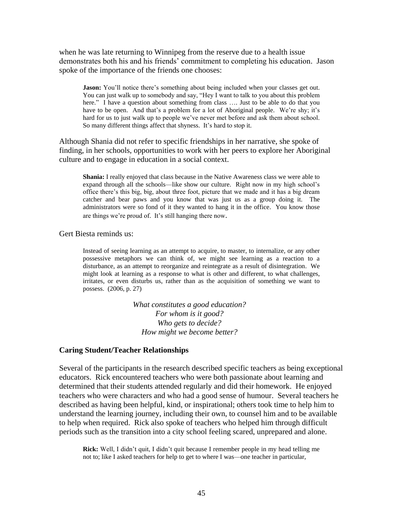when he was late returning to Winnipeg from the reserve due to a health issue demonstrates both his and his friends' commitment to completing his education. Jason spoke of the importance of the friends one chooses:

**Jason:** You'll notice there's something about being included when your classes get out. You can just walk up to somebody and say, "Hey I want to talk to you about this problem here." I have a question about something from class .... Just to be able to do that you have to be open. And that's a problem for a lot of Aboriginal people. We're shy; it's hard for us to just walk up to people we've never met before and ask them about school. So many different things affect that shyness. It's hard to stop it.

Although Shania did not refer to specific friendships in her narrative, she spoke of finding, in her schools, opportunities to work with her peers to explore her Aboriginal culture and to engage in education in a social context.

**Shania:** I really enjoyed that class because in the Native Awareness class we were able to expand through all the schools—like show our culture. Right now in my high school's office there's this big, big, about three foot, picture that we made and it has a big dream catcher and bear paws and you know that was just us as a group doing it. The administrators were so fond of it they wanted to hang it in the office. You know those are things we're proud of. It's still hanging there now.

Gert Biesta reminds us:

Instead of seeing learning as an attempt to acquire, to master, to internalize, or any other possessive metaphors we can think of, we might see learning as a reaction to a disturbance, as an attempt to reorganize and reintegrate as a result of disintegration. We might look at learning as a response to what is other and different, to what challenges, irritates, or even disturbs us, rather than as the acquisition of something we want to possess. (2006, p. 27)

> *What constitutes a good education? For whom is it good? Who gets to decide? How might we become better?*

#### **Caring Student/Teacher Relationships**

Several of the participants in the research described specific teachers as being exceptional educators. Rick encountered teachers who were both passionate about learning and determined that their students attended regularly and did their homework. He enjoyed teachers who were characters and who had a good sense of humour. Several teachers he described as having been helpful, kind, or inspirational; others took time to help him to understand the learning journey, including their own, to counsel him and to be available to help when required. Rick also spoke of teachers who helped him through difficult periods such as the transition into a city school feeling scared, unprepared and alone.

**Rick:** Well, I didn't quit, I didn't quit because I remember people in my head telling me not to; like I asked teachers for help to get to where I was—one teacher in particular,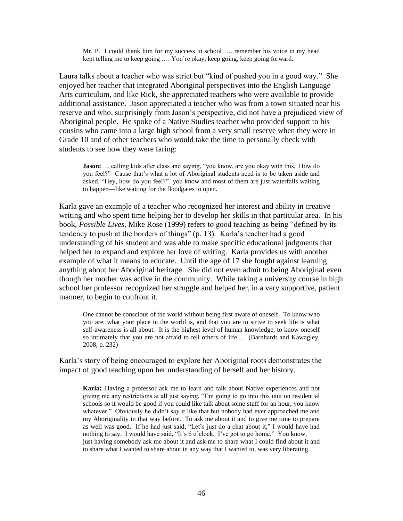Mr. P. I could thank him for my success in school …. remember his voice in my head kept telling me to keep going …. You're okay, keep going, keep going forward.

Laura talks about a teacher who was strict but "kind of pushed you in a good way." She enjoyed her teacher that integrated Aboriginal perspectives into the English Language Arts curriculum, and like Rick, she appreciated teachers who were available to provide additional assistance. Jason appreciated a teacher who was from a town situated near his reserve and who, surprisingly from Jason's perspective, did not have a prejudiced view of Aboriginal people. He spoke of a Native Studies teacher who provided support to his cousins who came into a large high school from a very small reserve when they were in Grade 10 and of other teachers who would take the time to personally check with students to see how they were faring:

**Jason:** ... calling kids after class and saying, "you know, are you okay with this. How do you feel?" Cause that's what a lot of Aboriginal students need is to be taken aside and asked, "Hey, how do you feel?" you know and most of them are just waterfalls waiting to happen—like waiting for the floodgates to open.

Karla gave an example of a teacher who recognized her interest and ability in creative writing and who spent time helping her to develop her skills in that particular area. In his book, *Possible Lives*, Mike Rose (1999) refers to good teaching as being "defined by its tendency to push at the borders of things" (p. 13). Karla's teacher had a good understanding of his student and was able to make specific educational judgments that helped her to expand and explore her love of writing. Karla provides us with another example of what it means to educate. Until the age of 17 she fought against learning anything about her Aboriginal heritage. She did not even admit to being Aboriginal even though her mother was active in the community. While taking a university course in high school her professor recognized her struggle and helped her, in a very supportive, patient manner, to begin to confront it.

One cannot be conscious of the world without being first aware of oneself. To know who you are, what your place in the world is, and that you are to strive to seek life is what self-awareness is all about. It is the highest level of human knowledge, to know oneself so intimately that you are not afraid to tell others of life … (Barnhardt and Kawagley, 2008, p. 232)

Karla's story of being encouraged to explore her Aboriginal roots demonstrates the impact of good teaching upon her understanding of herself and her history.

**Karla:** Having a professor ask me to learn and talk about Native experiences and not giving me any restrictions at all just saying, "I'm going to go into this unit on residential schools so it would be good if you could like talk about some stuff for an hour, you know whatever." Obviously he didn't say it like that but nobody had ever approached me and my Aboriginality in that way before. To ask me about it and to give me time to prepare as well was good. If he had just said, "Let's just do a chat about it," I would have had nothing to say. I would have said, "It's 6 o'clock. I've got to go home." You know, just having somebody ask me about it and ask me to share what I could find about it and to share what I wanted to share about in any way that I wanted to, was very liberating.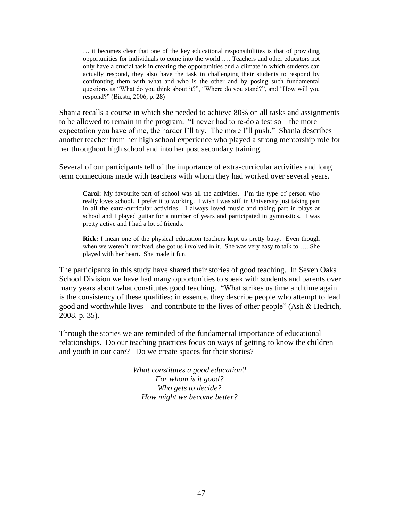… it becomes clear that one of the key educational responsibilities is that of providing opportunities for individuals to come into the world .… Teachers and other educators not only have a crucial task in creating the opportunities and a climate in which students can actually respond, they also have the task in challenging their students to respond by confronting them with what and who is the other and by posing such fundamental questions as "What do you think about it?", "Where do you stand?", and "How will you respond?" (Biesta, 2006, p. 28)

Shania recalls a course in which she needed to achieve 80% on all tasks and assignments to be allowed to remain in the program. "I never had to re-do a test so—the more expectation you have of me, the harder I'll try. The more I'll push." Shania describes another teacher from her high school experience who played a strong mentorship role for her throughout high school and into her post secondary training.

Several of our participants tell of the importance of extra-curricular activities and long term connections made with teachers with whom they had worked over several years.

**Carol:** My favourite part of school was all the activities. I'm the type of person who really loves school. I prefer it to working. I wish I was still in University just taking part in all the extra-curricular activities. I always loved music and taking part in plays at school and I played guitar for a number of years and participated in gymnastics. I was pretty active and I had a lot of friends.

**Rick:** I mean one of the physical education teachers kept us pretty busy. Even though when we weren't involved, she got us involved in it. She was very easy to talk to .... She played with her heart. She made it fun.

The participants in this study have shared their stories of good teaching. In Seven Oaks School Division we have had many opportunities to speak with students and parents over many years about what constitutes good teaching. "What strikes us time and time again is the consistency of these qualities: in essence, they describe people who attempt to lead good and worthwhile lives—and contribute to the lives of other people" (Ash  $&$  Hedrich, 2008, p. 35).

Through the stories we are reminded of the fundamental importance of educational relationships. Do our teaching practices focus on ways of getting to know the children and youth in our care? Do we create spaces for their stories?

> *What constitutes a good education? For whom is it good? Who gets to decide? How might we become better?*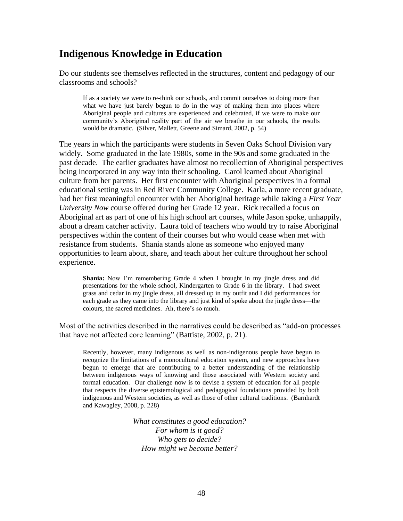## **Indigenous Knowledge in Education**

Do our students see themselves reflected in the structures, content and pedagogy of our classrooms and schools?

If as a society we were to re-think our schools, and commit ourselves to doing more than what we have just barely begun to do in the way of making them into places where Aboriginal people and cultures are experienced and celebrated, if we were to make our community's Aboriginal reality part of the air we breathe in our schools, the results would be dramatic. (Silver, Mallett, Greene and Simard, 2002, p. 54)

The years in which the participants were students in Seven Oaks School Division vary widely. Some graduated in the late 1980s, some in the 90s and some graduated in the past decade. The earlier graduates have almost no recollection of Aboriginal perspectives being incorporated in any way into their schooling. Carol learned about Aboriginal culture from her parents. Her first encounter with Aboriginal perspectives in a formal educational setting was in Red River Community College. Karla, a more recent graduate, had her first meaningful encounter with her Aboriginal heritage while taking a *First Year University Now* course offered during her Grade 12 year. Rick recalled a focus on Aboriginal art as part of one of his high school art courses, while Jason spoke, unhappily, about a dream catcher activity. Laura told of teachers who would try to raise Aboriginal perspectives within the content of their courses but who would cease when met with resistance from students. Shania stands alone as someone who enjoyed many opportunities to learn about, share, and teach about her culture throughout her school experience.

**Shania:** Now I'm remembering Grade 4 when I brought in my jingle dress and did presentations for the whole school, Kindergarten to Grade 6 in the library. I had sweet grass and cedar in my jingle dress, all dressed up in my outfit and I did performances for each grade as they came into the library and just kind of spoke about the jingle dress—the colours, the sacred medicines. Ah, there's so much.

Most of the activities described in the narratives could be described as "add-on processes" that have not affected core learning" (Battiste,  $2002$ , p. 21).

Recently, however, many indigenous as well as non-indigenous people have begun to recognize the limitations of a monocultural education system, and new approaches have begun to emerge that are contributing to a better understanding of the relationship between indigenous ways of knowing and those associated with Western society and formal education. Our challenge now is to devise a system of education for all people that respects the diverse epistemological and pedagogical foundations provided by both indigenous and Western societies, as well as those of other cultural traditions. (Barnhardt and Kawagley, 2008, p. 228)

> *What constitutes a good education? For whom is it good? Who gets to decide? How might we become better?*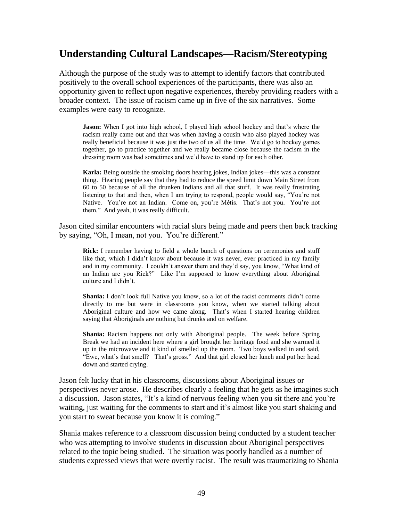## **Understanding Cultural Landscapes—Racism/Stereotyping**

Although the purpose of the study was to attempt to identify factors that contributed positively to the overall school experiences of the participants, there was also an opportunity given to reflect upon negative experiences, thereby providing readers with a broader context. The issue of racism came up in five of the six narratives. Some examples were easy to recognize.

**Jason:** When I got into high school, I played high school hockey and that's where the racism really came out and that was when having a cousin who also played hockey was really beneficial because it was just the two of us all the time. We'd go to hockey games together, go to practice together and we really became close because the racism in the dressing room was bad sometimes and we'd have to stand up for each other.

**Karla:** Being outside the smoking doors hearing jokes, Indian jokes—this was a constant thing. Hearing people say that they had to reduce the speed limit down Main Street from 60 to 50 because of all the drunken Indians and all that stuff. It was really frustrating listening to that and then, when I am trying to respond, people would say, "You're not Native. You're not an Indian. Come on, you're Métis. That's not you. You're not them." And yeah, it was really difficult.

Jason cited similar encounters with racial slurs being made and peers then back tracking by saying, "Oh, I mean, not you. You're different."

**Rick:** I remember having to field a whole bunch of questions on ceremonies and stuff like that, which I didn't know about because it was never, ever practiced in my family and in my community. I couldn't answer them and they'd say, you know, "What kind of an Indian are you Rick?" Like I'm supposed to know everything about Aboriginal culture and I didn't.

**Shania:** I don't look full Native you know, so a lot of the racist comments didn't come directly to me but were in classrooms you know, when we started talking about Aboriginal culture and how we came along. That's when I started hearing children saying that Aboriginals are nothing but drunks and on welfare.

**Shania:** Racism happens not only with Aboriginal people. The week before Spring Break we had an incident here where a girl brought her heritage food and she warmed it up in the microwave and it kind of smelled up the room. Two boys walked in and said, "Ewe, what's that smell? That's gross." And that girl closed her lunch and put her head down and started crying.

Jason felt lucky that in his classrooms, discussions about Aboriginal issues or perspectives never arose. He describes clearly a feeling that he gets as he imagines such a discussion. Jason states, "It's a kind of nervous feeling when you sit there and you're waiting, just waiting for the comments to start and it's almost like you start shaking and you start to sweat because you know it is coming."

Shania makes reference to a classroom discussion being conducted by a student teacher who was attempting to involve students in discussion about Aboriginal perspectives related to the topic being studied. The situation was poorly handled as a number of students expressed views that were overtly racist. The result was traumatizing to Shania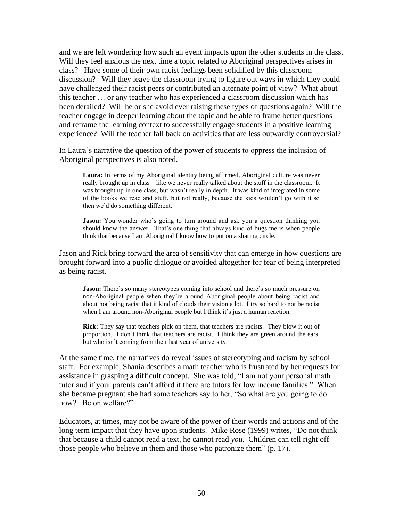and we are left wondering how such an event impacts upon the other students in the class. Will they feel anxious the next time a topic related to Aboriginal perspectives arises in class? Have some of their own racist feelings been solidified by this classroom discussion? Will they leave the classroom trying to figure out ways in which they could have challenged their racist peers or contributed an alternate point of view? What about this teacher … or any teacher who has experienced a classroom discussion which has been derailed? Will he or she avoid ever raising these types of questions again? Will the teacher engage in deeper learning about the topic and be able to frame better questions and reframe the learning context to successfully engage students in a positive learning experience? Will the teacher fall back on activities that are less outwardly controversial?

In Laura's narrative the question of the power of students to oppress the inclusion of Aboriginal perspectives is also noted.

**Laura:** In terms of my Aboriginal identity being affirmed, Aboriginal culture was never really brought up in class—like we never really talked about the stuff in the classroom. It was brought up in one class, but wasn't really in depth. It was kind of integrated in some of the books we read and stuff, but not really, because the kids wouldn't go with it so then we'd do something different.

Jason: You wonder who's going to turn around and ask you a question thinking you should know the answer. That's one thing that always kind of bugs me is when people think that because I am Aboriginal I know how to put on a sharing circle.

Jason and Rick bring forward the area of sensitivity that can emerge in how questions are brought forward into a public dialogue or avoided altogether for fear of being interpreted as being racist.

Jason: There's so many stereotypes coming into school and there's so much pressure on non-Aboriginal people when they're around Aboriginal people about being racist and about not being racist that it kind of clouds their vision a lot. I try so hard to not be racist when I am around non-Aboriginal people but I think it's just a human reaction.

**Rick:** They say that teachers pick on them, that teachers are racists. They blow it out of proportion. I don't think that teachers are racist. I think they are green around the ears, but who isn't coming from their last year of university.

At the same time, the narratives do reveal issues of stereotyping and racism by school staff. For example, Shania describes a math teacher who is frustrated by her requests for assistance in grasping a difficult concept. She was told, "I am not your personal math tutor and if your parents can't afford it there are tutors for low income families." When she became pregnant she had some teachers say to her, "So what are you going to do now? Be on welfare?"

Educators, at times, may not be aware of the power of their words and actions and of the long term impact that they have upon students. Mike Rose (1999) writes, "Do not think that because a child cannot read a text, he cannot read *you*. Children can tell right off those people who believe in them and those who patronize them" (p. 17).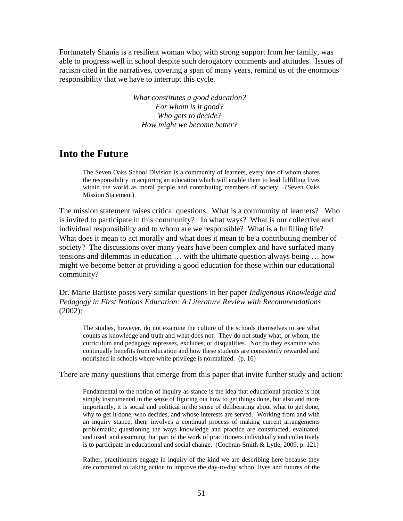Fortunately Shania is a resilient woman who, with strong support from her family, was able to progress well in school despite such derogatory comments and attitudes. Issues of racism cited in the narratives, covering a span of many years, remind us of the enormous responsibility that we have to interrupt this cycle.

> *What constitutes a good education? For whom is it good? Who gets to decide? How might we become better?*

#### **Into the Future**

The Seven Oaks School Division is a community of learners, every one of whom shares the responsibility in acquiring an education which will enable them to lead fulfilling lives within the world as moral people and contributing members of society. (Seven Oaks Mission Statement)

The mission statement raises critical questions. What is a community of learners? Who is invited to participate in this community? In what ways? What is our collective and individual responsibility and to whom are we responsible? What is a fulfilling life? What does it mean to act morally and what does it mean to be a contributing member of society? The discussions over many years have been complex and have surfaced many tensions and dilemmas in education … with the ultimate question always being … how might we become better at providing a good education for those within our educational community?

Dr. Marie Battiste poses very similar questions in her paper *Indigenous Knowledge and Pedagogy in First Nations Education: A Literature Review with Recommendations*  (2002):

The studies, however, do not examine the culture of the schools themselves to see what counts as knowledge and truth and what does not. They do not study what, or whom, the curriculum and pedagogy represses, excludes, or disqualifies. Nor do they examine who continually benefits from education and how these students are consistently rewarded and nourished in schools where white privilege is normalized. (p. 16)

There are many questions that emerge from this paper that invite further study and action:

Fundamental to the notion of inquiry as stance is the idea that educational practice is not simply instrumental in the sense of figuring out how to get things done, but also and more importantly, it is social and political in the sense of deliberating about what to get done, why to get it done, who decides, and whose interests are served. Working from and with an inquiry stance, then, involves a continual process of making current arrangements problematic; questioning the ways knowledge and practice are constructed, evaluated, and used; and assuming that part of the work of practitioners individually and collectively is to participate in educational and social change. (Cochran-Smith & Lytle, 2009, p. 121)

Rather, practitioners engage in inquiry of the kind we are describing here because they are committed to taking action to improve the day-to-day school lives and futures of the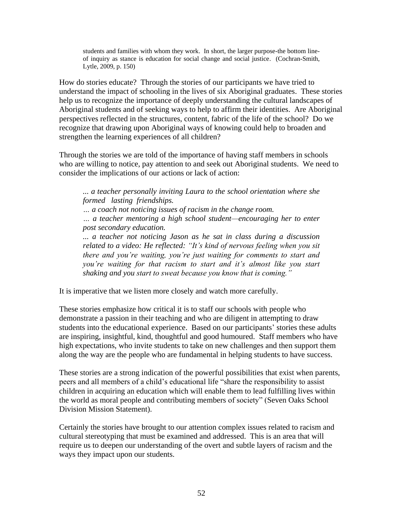students and families with whom they work. In short, the larger purpose-the bottom lineof inquiry as stance is education for social change and social justice. (Cochran-Smith, Lytle, 2009, p. 150)

How do stories educate? Through the stories of our participants we have tried to understand the impact of schooling in the lives of six Aboriginal graduates. These stories help us to recognize the importance of deeply understanding the cultural landscapes of Aboriginal students and of seeking ways to help to affirm their identities. Are Aboriginal perspectives reflected in the structures, content, fabric of the life of the school? Do we recognize that drawing upon Aboriginal ways of knowing could help to broaden and strengthen the learning experiences of all children?

Through the stories we are told of the importance of having staff members in schools who are willing to notice, pay attention to and seek out Aboriginal students. We need to consider the implications of our actions or lack of action:

*... a teacher personally inviting Laura to the school orientation where she formed lasting friendships.*

*… a coach not noticing issues of racism in the change room.*

*… a teacher mentoring a high school student—encouraging her to enter post secondary education.*

*... a teacher not noticing Jason as he sat in class during a discussion related to a video: He reflected: "It's kind of nervous feeling when you sit there and you're waiting, you're just waiting for comments to start and you're waiting for that racism to start and it's almost like you start shaking and you start to sweat because you know that is coming."*

It is imperative that we listen more closely and watch more carefully.

These stories emphasize how critical it is to staff our schools with people who demonstrate a passion in their teaching and who are diligent in attempting to draw students into the educational experience. Based on our participants' stories these adults are inspiring, insightful, kind, thoughtful and good humoured. Staff members who have high expectations, who invite students to take on new challenges and then support them along the way are the people who are fundamental in helping students to have success.

These stories are a strong indication of the powerful possibilities that exist when parents, peers and all members of a child's educational life "share the responsibility to assist children in acquiring an education which will enable them to lead fulfilling lives within the world as moral people and contributing members of society" (Seven Oaks School Division Mission Statement).

Certainly the stories have brought to our attention complex issues related to racism and cultural stereotyping that must be examined and addressed. This is an area that will require us to deepen our understanding of the overt and subtle layers of racism and the ways they impact upon our students.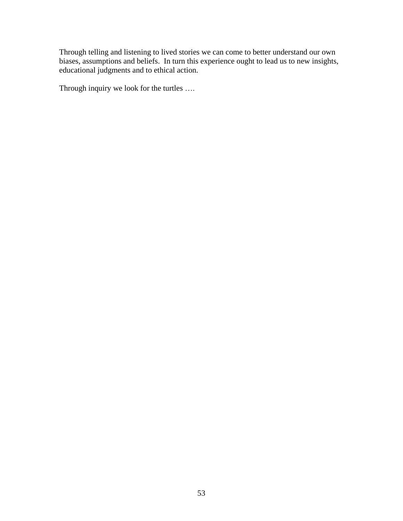Through telling and listening to lived stories we can come to better understand our own biases, assumptions and beliefs. In turn this experience ought to lead us to new insights, educational judgments and to ethical action.

Through inquiry we look for the turtles ….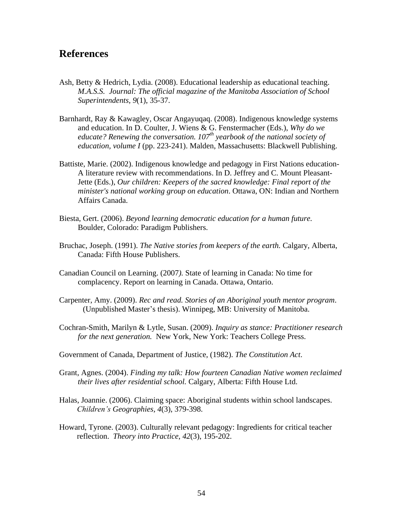### **References**

- Ash, Betty & Hedrich, Lydia. (2008). Educational leadership as educational teaching. *M.A.S.S. Journal: The official magazine of the Manitoba Association of School Superintendents, 9*(1), 35-37.
- Barnhardt, Ray & Kawagley, Oscar Angayuqaq. (2008). Indigenous knowledge systems and education. In D. Coulter, J. Wiens & G. Fenstermacher (Eds.), *Why do we educate? Renewing the conversation. 107th yearbook of the national society of education, volume I* (pp. 223-241). Malden, Massachusetts: Blackwell Publishing.
- Battiste, Marie. (2002). Indigenous knowledge and pedagogy in First Nations education-A literature review with recommendations. In D. Jeffrey and C. Mount Pleasant-Jette (Eds.), *Our children: Keepers of the sacred knowledge: Final report of the minister's national working group on education*. Ottawa, ON: Indian and Northern Affairs Canada.
- Biesta, Gert. (2006). *Beyond learning democratic education for a human future.*  Boulder, Colorado: Paradigm Publishers.
- Bruchac, Joseph. (1991). *The Native stories from keepers of the earth.* Calgary, Alberta, Canada: Fifth House Publishers.
- Canadian Council on Learning. (2007*).* State of learning in Canada: No time for complacency. Report on learning in Canada. Ottawa, Ontario.
- Carpenter, Amy. (2009). *Rec and read. Stories of an Aboriginal youth mentor program*. (Unpublished Master's thesis). Winnipeg, MB: University of Manitoba.
- Cochran-Smith, Marilyn & Lytle, Susan. (2009). *Inquiry as stance: Practitioner research for the next generation.* New York, New York: Teachers College Press.
- Government of Canada, Department of Justice, (1982). *The Constitution Act*.
- Grant, Agnes. (2004). *Finding my talk: How fourteen Canadian Native women reclaimed their lives after residential school.* Calgary, Alberta: Fifth House Ltd.
- Halas, Joannie. (2006). Claiming space: Aboriginal students within school landscapes. *Children's Geographies, 4*(3), 379-398.
- Howard, Tyrone. (2003). Culturally relevant pedagogy: Ingredients for critical teacher reflection. *Theory into Practice*, *42*(3), 195-202.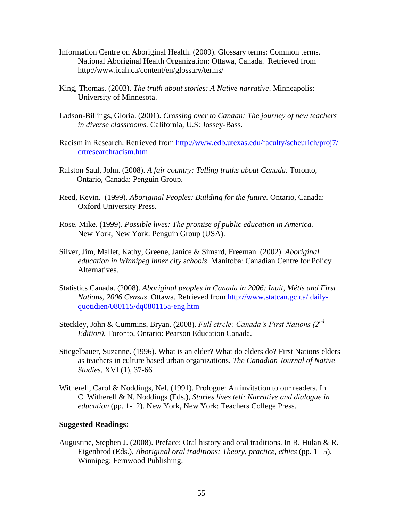- Information Centre on Aboriginal Health. (2009). Glossary terms: Common terms. National Aboriginal Health Organization: Ottawa, Canada. Retrieved from [http://www.icah.ca/content/en/glossary/terms/](https://webmail.7oaks.org/owa/redir.aspx?C=fc328dec7c354350b1da9719bd717ce7&URL=http%3a%2f%2fwww.icah.ca%2fcontent%2fen%2fglossary%2fterms%2f)
- King, Thomas. (2003). *The truth about stories: A Native narrative*. Minneapolis: University of Minnesota.
- Ladson-Billings, Gloria. (2001). *Crossing over to Canaan: The journey of new teachers in diverse classrooms.* California, U.S: Jossey-Bass.
- Racism in Research. Retrieved from [http://www.edb.utexas.edu/faculty/scheurich/proj7/](http://www.edb.utexas.edu/faculty/scheurich/proj7/%20crtresearchracism.htm)  [crtresearchracism.htm](http://www.edb.utexas.edu/faculty/scheurich/proj7/%20crtresearchracism.htm)
- Ralston Saul, John. (2008). *A fair country: Telling truths about Canada.* Toronto, Ontario, Canada: Penguin Group.
- Reed, Kevin. (1999). *Aboriginal Peoples: Building for the future.* Ontario, Canada: Oxford University Press.
- New York, New York: Penguin Group (USA). Rose, Mike. (1999). *Possible lives: The promise of public education in America.*
- Silver, Jim, Mallet, Kathy, Greene, Janice & Simard, Freeman. (2002). *Aboriginal education in Winnipeg inner city schools*. Manitoba: Canadian Centre for Policy Alternatives.
- Statistics Canada. (2008). *Aboriginal peoples in Canada in 2006: Inuit, Métis and First Nations, 2006 Census*. Ottawa. Retrieved from [http://www.statcan.gc.ca/ daily](http://www.statcan.gc.ca/%20daily-quotidien/080115/dq080115a-eng.htm)[quotidien/080115/dq080115a-eng.htm](http://www.statcan.gc.ca/%20daily-quotidien/080115/dq080115a-eng.htm)
- Steckley, John & Cummins, Bryan. (2008). *Full circle: Canada's First Nations (2nd Edition)*. Toronto, Ontario: Pearson Education Canada.
- Stiegelbauer, Suzanne. (1996). What is an elder? What do elders do? First Nations elders as teachers in culture based urban organizations. *The Canadian Journal of Native Studies*, XVI (1), 37-66
- Witherell, Carol & Noddings, Nel. (1991). Prologue: An invitation to our readers. In C. Witherell & N. Noddings (Eds.), *Stories lives tell: Narrative and dialogue in education* (pp. 1-12). New York, New York: Teachers College Press.

#### **Suggested Readings:**

Augustine, Stephen J. (2008). Preface: Oral history and oral traditions. In R. Hulan & R. Eigenbrod (Eds.), *Aboriginal oral traditions: Theory, practice, ethics* (pp. 1–5). Winnipeg: Fernwood Publishing.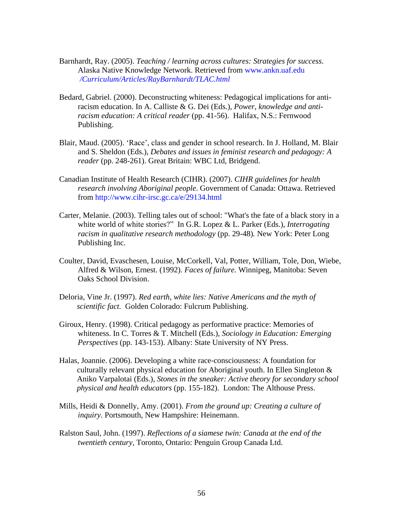- Barnhardt, Ray. (2005). *Teaching / learning across cultures: Strategies for success*. Alaska Native Knowledge Network. Retrieved from [www.ankn.uaf.edu](http://www.ankn.uaf.edu/) *[/Curriculum/Articles/RayBarnhardt/TLAC.html](https://webmail.7oaks.org/owa/redir.aspx?C=fc328dec7c354350b1da9719bd717ce7&URL=http%3a%2f%2fwww.ankn.uaf.edu%2fCurriculum%2fArticles%2fRayBarnhardt%2fTLAC.html)*
- Bedard, Gabriel. (2000). Deconstructing whiteness: Pedagogical implications for antiracism education. In A. Calliste & G. Dei (Eds.), *Power, knowledge and antiracism education: A critical reader* (pp. 41-56). Halifax, N.S.: Fernwood Publishing.
- Blair, Maud. (2005). 'Race', class and gender in school research. In J. Holland, M. Blair and S. Sheldon (Eds.), *Debates and issues in feminist research and pedagogy: A reader* (pp. 248-261). Great Britain: WBC Ltd, Bridgend.
- Canadian Institute of Health Research (CIHR). (2007). *CIHR guidelines for health research involving Aboriginal people*. Government of Canada: Ottawa. Retrieved from [http://www.cihr-irsc.gc.ca/e/29134.html](https://webmail.7oaks.org/owa/redir.aspx?C=fc328dec7c354350b1da9719bd717ce7&URL=http%3a%2f%2fwww.cihr-irsc.gc.ca%2fe%2f29134.html)
- Carter, Melanie. (2003). Telling tales out of school: "What's the fate of a black story in a white world of white stories?" In G.R. Lopez & L. Parker (Eds.), *Interrogating racism in qualitative research methodology* (pp. 29-48)*.* New York: Peter Long Publishing Inc.
- Coulter, David, Evaschesen, Louise, McCorkell, Val, Potter, William, Tole, Don, Wiebe, Alfred & Wilson, Ernest. (1992). *Faces of failure.* Winnipeg, Manitoba: Seven Oaks School Division.
- Deloria, Vine Jr. (1997). *Red earth, white lies: Native Americans and the myth of scientific fact.* Golden Colorado: Fulcrum Publishing.
- Giroux, Henry. (1998). Critical pedagogy as performative practice: Memories of whiteness. In C. Torres & T. Mitchell (Eds.), *Sociology in Education: Emerging Perspectives* (pp. 143-153). Albany: State University of NY Press.
- Halas, Joannie. (2006). Developing a white race-consciousness: A foundation for culturally relevant physical education for Aboriginal youth. In Ellen Singleton & Aniko Varpalotai (Eds.), *Stones in the sneaker: Active theory for secondary school physical and health educators* (pp. 155-182). London: The Althouse Press.
- Mills, Heidi & Donnelly, Amy. (2001). *From the ground up: Creating a culture of inquiry.* Portsmouth, New Hampshire: Heinemann.
- Ralston Saul, John. (1997). *Reflections of a siamese twin: Canada at the end of the twentieth century,* Toronto, Ontario: Penguin Group Canada Ltd.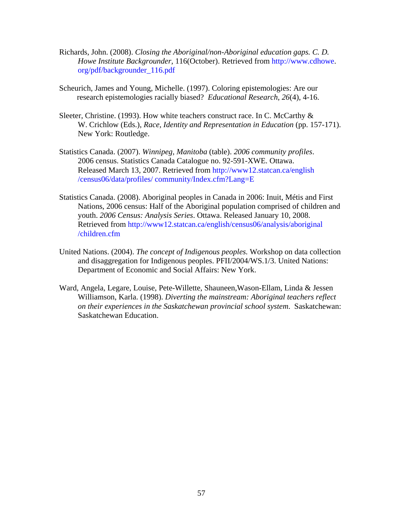- Richards, John. (2008). *Closing the Aboriginal/non-Aboriginal education gaps. C. D. Howe Institute Backgrounder,* 116(October). Retrieved from [http://www.cdhowe.](http://www.cdhowe/) [org/pdf/backgrounder\\_116.pdf](http://www.cdhowe.org/pdf/backgrounder_116.pdf)
- Scheurich, James and Young, Michelle. (1997). Coloring epistemologies: Are our research epistemologies racially biased? *Educational Research*, *26*(4), 4-16.
- Sleeter, Christine. (1993). How white teachers construct race. In C. McCarthy & W. Crichlow (Eds.), *Race, Identity and Representation in Education* (pp. 157-171). New York: Routledge.
- Statistics Canada. (2007). *Winnipeg, Manitoba* (table). *2006 community profiles*. 2006 census. Statistics Canada Catalogue no. 92-591-XWE. Ottawa. Released March 13, 2007. Retrieved from [http://www12.statcan.ca/english](https://webmail.7oaks.org/owa/redir.aspx?C=fc328dec7c354350b1da9719bd717ce7&URL=http%3a%2f%2fwww12.statcan.ca%2fenglish%2520%2fcensus06%2fdata%2fprofiles%2f%2520community%2fIndex.cfm%3fLang%3dE)  [/census06/data/profiles/ community/Index.cfm?Lang=E](https://webmail.7oaks.org/owa/redir.aspx?C=fc328dec7c354350b1da9719bd717ce7&URL=http%3a%2f%2fwww12.statcan.ca%2fenglish%2520%2fcensus06%2fdata%2fprofiles%2f%2520community%2fIndex.cfm%3fLang%3dE)
- Statistics Canada. (2008). Aboriginal peoples in Canada in 2006: Inuit, Métis and First Nations, 2006 census: Half of the Aboriginal population comprised of children and youth. *2006 Census: Analysis Series*. Ottawa. Released January 10, 2008. Retrieved from [http://www12.statcan.ca/english/census06/analysis/aboriginal](http://www12.statcan.ca/english/census06/analysis/aboriginal%20/children.cfm)  [/children.cfm](http://www12.statcan.ca/english/census06/analysis/aboriginal%20/children.cfm)
- United Nations. (2004). *The concept of Indigenous peoples.* Workshop on data collection and disaggregation for Indigenous peoples. PFII/2004/WS.1/3. United Nations: Department of Economic and Social Affairs: New York.
- Ward, Angela, Legare, Louise, Pete-Willette, Shauneen,Wason-Ellam, Linda & Jessen Williamson, Karla. (1998). *Diverting the mainstream: Aboriginal teachers reflect on their experiences in the Saskatchewan provincial school system*. Saskatchewan: Saskatchewan Education.